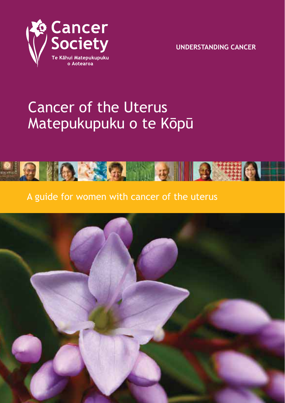

**UNDERSTANDING CANCER** 

# **Cancer of the Uterus** Matepukupuku o te Kōpū



A guide for women with cancer of the uterus

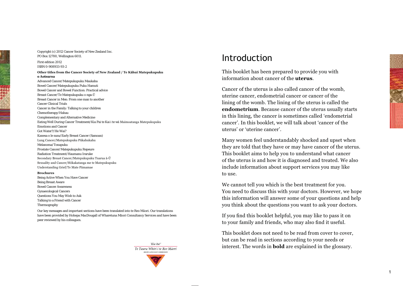Copyright (c) 2012 Cancer Society of New Zealand Inc. PO Box 12700, Wellington 6011.

First edition 2012 ISBN 0-908933-93-2

Other titles from the Cancer Society of New Zealand / Te Kāhui Matepukupuku **o Aotearoa** Advanced Cancer/Matepukupuku Maukaha Bowel Cancer/Matepukupuku Puku Hamuti Bowel Cancer and Bowel Function: Practical advice Breast Cancer/Te Matepukupuku o nga-Ū Breast Cancer in Men: From one man to another Cancer Clinical Trials Cancer in the Family: Talking to your children Chemotherapy/Hahau Complementary and Alternative Medicine Eating Well During Cancer Treatment/Kia Pai te Kai i te wā Maimoatanga Matepukupuku Emotions and Cancer Got Water?/He Wai? Kanesa o le susu/Early Breast Cancer (Samoan) Lung Cancer/Matepukupuku Pūkahukahu Melanoma/Tonapuku Prostate Cancer/Matepukupuku Repeure Radiation Treatment/Haumanu Iraruke Secondary Breast Cancer/Matepukupuku Tuarua ā-Ū Sexuality and Cancer/Hōkakatanga me te Matepukupuku Understanding Grief/Te Mate Pāmamae

#### **Brochures**

Being Active When You Have Cancer Being Breast Aware Bowel Cancer Awareness Gynaecological Cancers Questions You May Wish to Ask Talking to a Friend with Cancer Thermography

Our key messages and important sections have been translated into te Reo Maori. Our translations have been provided by Hohepa MacDougall of Wharetuna Māori Consultancy Services and have been peer reviewed by his colleagues.



# Introduction

This booklet has been prepared to provide you with information about cancer of the **uterus**.

Cancer of the uterus is also called cancer of the womb, uterine cancer, endometrial cancer or cancer of the lining of the womb. The lining of the uterus is called the **endometrium.** Because cancer of the uterus usually starts in this lining, the cancer is sometimes called 'endometrial cancer'. In this booklet, we will talk about 'cancer of the uterus' or 'uterine cancer'.

Many women feel understandably shocked and upset when they are told that they have or may have cancer of the uterus. This booklet aims to help you to understand what cancer of the uterus is and how it is diagnosed and treated. We also include information about support services you may like to use.

We cannot tell you which is the best treatment for you. You need to discuss this with your doctors. However, we hope this information will answer some of your questions and help you think about the questions you want to ask your doctors.

If you find this booklet helpful, you may like to pass it on to your family and friends, who may also find it useful.

This booklet does not need to be read from cover to cover, but can be read in sections according to your needs or interest. The words in **bold** are explained in the glossary.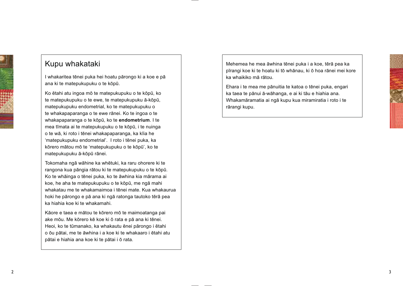

# Kupu whakataki

I whakaritea tēnei puka hei hoatu pārongo ki a koe e pā ana ki te matepukupuku o te kōpū.

Ko ētahi atu ingoa mō te matepukupuku o te kōpū, ko te matepukupuku o te ewe, te matepukupuku ā-kōpū, matepukupuku endometrial, ko te matepukupuku o te whakapaparanga o te ewe rānei. Ko te ingoa o te whakapaparanga o te kōpū, ko te endometrium. I te mea tīmata ai te matepukupuku o te kōpū, i te nuinga o te wā, ki roto i tēnei whakapaparanga, ka kīja he 'matepukupuku endometrial'. I roto i tēnei puka, ka kōrero mātou mō te 'matepukupuku o te kōpū', ko te matepukupuku ā-kōpū rānei.

Tokomaha ngā wāhine ka whētuki, ka raru ohorere ki te rangona kua pāngia rātou ki te matepukupuku o te kōpū. Ko te whāinga o tēnei puka, ko te āwhina kia mārama ai koe, he aha te matepukupuku o te kōpū, me ngā mahi whakatau me te whakamaimoa i tēnei mate. Kua whakaurua hoki he pārongo e pā ana ki ngā ratonga tautoko tērā pea ka hiahia koe ki te whakamahi.

Kãore e taea e mātou te kōrero mō te maimoatanga pai ake mōu. Me kōrero kē koe ki ō rata e pā ana ki tēnei. Heoi, ko te tūmanako, ka whakautu ēnei pārongo i ētahi o ōu pātai, me te āwhina i a koe ki te whakaaro i ētahi atu pātai e hiahia ana koe ki te pātai i ō rata.

Mehemea he mea āwhina tēnei puka i a koe, tērā pea ka pīrangi koe ki te hoatu ki tō whānau, ki ō hoa rānei mei kore ka whaikiko mā rātou

Ehara i te mea me pānuitia te katoa o tēnei puka, engari ka taea te pānui ā-wāhanga, e ai ki tāu e hiahia ana. Whakamāramatia ai ngā kupu kua miramiratia i roto i te rārangi kupu.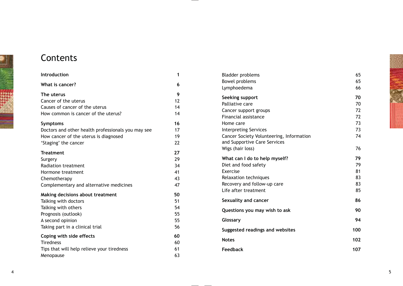

# **Contents**

| <b>Introduction</b>                                    | 1        | B      |
|--------------------------------------------------------|----------|--------|
| What is cancer?                                        | 6        | B<br>Ŀ |
| The uterus                                             | 9        | S      |
| Cancer of the uterus<br>Causes of cancer of the uterus | 12<br>14 | P<br>C |
| How common is cancer of the uterus?                    | 14       | F      |
| Symptoms                                               | 16       | Н      |
| Doctors and other health professionals you may see     | 17       | Ir     |
| How cancer of the uterus is diagnosed                  | 19       | C      |
| 'Staging' the cancer                                   | 22       | a<br>W |
| <b>Treatment</b>                                       | 27       |        |
| Surgery                                                | 29       | N      |
| <b>Radiation treatment</b>                             | 34       | D      |
| Hormone treatment                                      | 41       | E      |
| Chemotherapy                                           | 43       | R      |
| Complementary and alternative medicines                | 47       | R      |
| Making decisions about treatment                       | 50       | Ŀ      |
| Talking with doctors                                   | 51       | S      |
| Talking with others                                    | 54       | Q      |
| Prognosis (outlook)                                    | 55       |        |
| A second opinion                                       | 55       | G      |
| Taking part in a clinical trial                        | 56       | S      |
| Coping with side effects                               | 60       | N      |
| <b>Tiredness</b>                                       | 60       |        |
| Tips that will help relieve your tiredness             | 61       | F      |
| Menopause                                              | 63       |        |

| <b>Bladder problems</b>                  | 65  |
|------------------------------------------|-----|
| <b>Bowel problems</b>                    | 65  |
| Lymphoedema                              | 66  |
| Seeking support                          | 70  |
| Palliative care                          | 70  |
| Cancer support groups                    | 72  |
| Financial assistance                     | 72  |
| Home care                                | 73  |
| <b>Interpreting Services</b>             | 73  |
| Cancer Society Volunteering, Information | 74  |
| and Supportive Care Services             |     |
| Wigs (hair loss)                         | 76  |
| What can I do to help myself?            | 79  |
| Diet and food safety                     | 79  |
| Exercise                                 | 81  |
| Relaxation techniques                    | 83  |
| Recovery and follow-up care              | 83  |
| Life after treatment                     | 85  |
| Sexuality and cancer                     | 86  |
| Questions you may wish to ask            | 90  |
| Glossary                                 | 94  |
| Suggested readings and websites          | 100 |
| <b>Notes</b>                             | 102 |
| <b>Feedback</b>                          | 107 |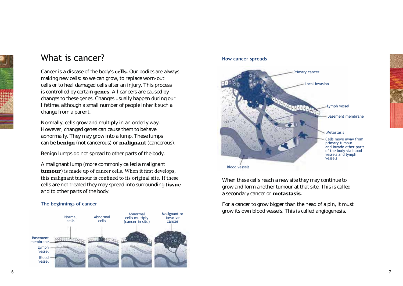

# What is cancer?

Cancer is a disease of the body's **cells**. Our bodies are always making new cells: so we can grow, to replace worn-out cells or to heal damaged cells after an injury. This process is controlled by certain **genes**. All cancers are caused by changes to these genes. Changes usually happen during our lifetime, although a small number of people inherit such a change from a parent.

Normally, cells grow and multiply in an orderly way. However, changed genes can cause them to behave abnormally. They may grow into a lump. These lumps can be **benign** (not cancerous) or **malignant** (cancerous).

Benign lumps do not spread to other parts of the body.

A malignant lump (more commonly called a malignant **tumour**) is made up of cancer cells. When it first develops, this malignant tumour is confined to its original site. If these cells are not treated they may spread into surrounding **tissue** and to other parts of the body.

## **The beginnings of cancer**



## **How cancer spreads**



When these cells reach a new site they may continue to grow and form another tumour at that site. This is called a secondary cancer or **metastasis**.

For a cancer to grow bigger than the head of a pin, it must grow its own blood vessels. This is called angiogenesis.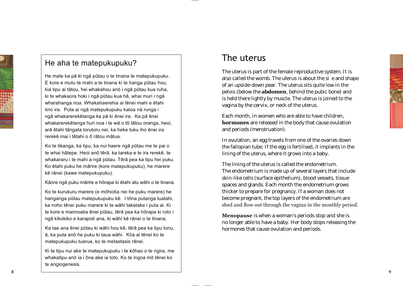

# He aha te matepukupuku?

He mate ka pā ki ngā pūtau o te tinana te matepukupuku. E kore e mutu te mahi a te tinana ki te hanga pūtau hou; kia tipu ai tātou, hei whakahou anō i ngā pūtau kua ruha. ki te whakaora hoki i ngā pūtau kua hē, whai muri i ngā wharahanga noa. Whakahaerehia ai tēnei mahi e ētahi tino ira. Puta ai ngā matepukupuku katoa nā runga i ngā whakarerekētanga ka pā ki ēnei ira. Ka pā ēnei whakarerekētanga huri noa i te wā o tō tātou oranga, heoi, arā ētahi tāngata torutoru nei, ka heke tuku iho ēnei ira rerekē mai i tētahi o ō rātou mātua

Ko te tikanga, ka tipu, ka nui haere ngā pūtau me te pai o te whai hātepe. Heoi anō tērā, ka tareka e te ira rerekē, te whakararu i te mahi a ngā pūtau. Tērā pea ka tipu hei puku. Ko ētahi puku he mārire (kore matepukupuku), he marere kē rānei (kawe matepukupuku).

Kāore ngā puku mārire e hōrapa ki ētahi atu wāhi o te tinana.

Ko te kurukuru marere (e mōhiotia nei he puku marere) he hanganga pūtau matepukupuku kē. I tōna putanga tuatahi, ka noho tēnei puku marere ki te wāhi taketake i puta ai. Ki te kore e maimoatia ēnei pūtau, tērā pea ka hōrapa ki roto i ngā kikokiko e karapoti ana, ki wāhi kē rānei o te tinana.

Ka tae ana ēnei pūtau ki wāhi hou kē, tērā pea ka tipu tonu. ā, ka puta anō he puku ki taua wāhi. Kīja ai tēnei ko te matepukupuku tuarua, ko te metastasis rānei.

Ki te tipu nui ake te matepukupuku i te kōhao o te ngira, me whakatipu anō ia i ōna ake ia toto. Ko te ingoa mō tēnei ko te angiogenesis.

# The uterus

The uterus is part of the female reproductive system. It is also called the womb. The uterus is about the si e and shape of an upside-down pear. The uterus sits quite low in the pelvis (below the **abdomen**, behind the pubic bone) and is held there lightly by muscle. The uterus is joined to the vagina by the cervix, or neck of the uterus.

Each month, in women who are able to have children, **hormones** are released in the body that cause ovulation and periods (menstruation).

In ovulation, an egg travels from one of the ovaries down the fallopian tube. If the egg is fertilised, it implants in the lining of the uterus, where it grows into a baby.

The lining of the uterus is called the endometrium. The endometrium is made up of several layers that include skin-like cells (surface epithelium), blood vessels, tissue spaces and glands. Each month the endometrium grows thicker to prepare for pregnancy. If a woman does not become pregnant, the top layers of the endometrium are shed and flow out through the vagina in the monthly period.

**Menopause** is when a woman's periods stop and she is no longer able to have a baby. Her body stops releasing the hormones that cause ovulation and periods.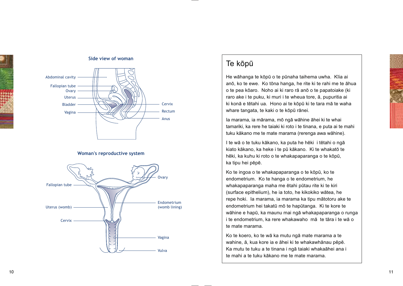

#### Side view of woman



### Woman's reproductive system



# Te kōpū

He wāhanga te kōpū o te pūnaha taihema uwha. Kīja ai anō, ko te ewe. Ko tōna hanga, he rite ki te rahi me te āhua o te pea kōaro. Noho ai ki raro rā anō o te papatojake (ki raro ake i te puku, ki muri i te wheua tore, ā, pupuritia ai ki konā e tētahi ua. Hono ai te kōpū ki te tara mā te waha whare tangata, te kaki o te kōpū rānei.

la marama, ia mārama, mō ngā wāhine āhei ki te whai tamariki, ka rere he taiaki ki roto i te tinana, e puta ai te mahi tuku kākano me te mate marama (rerenga awa wāhine).

I te wā o te tuku kākano, ka puta he hēki i tētahi o ngā kiato kākano, ka heke i te pū kākano. Ki te whakatō te hēki, ka kuhu ki roto o te whakapaparanga o te kōpū, ka tipu hei pēpē.

Ko te ingoa o te whakapaparanga o te kōpū, ko te endometrium. Ko te hanga o te endometrium, he whakapaparanga maha me ētahi pūtau rite ki te kiri (surface epithelium), he ia toto, he kikokiko wātea, he repe hoki. Ia marama, ia marama ka tipu mātotoru ake te endometrium hei takatū mō te hapūtanga. Ki te kore te wāhine e hapū, ka maunu mai ngā whakapaparanga o runga i te endometrium, ka rere whakawaho mā te tāra i te wā o te mate marama.

Ko te koero, ko te wā ka mutu ngā mate marama a te wahine, ā, kua kore ia e āhei ki te whakawhānau pēpē. Ka mutu te tuku a te tinana i ngā taiaki whakaāhei ana i te mahi a te tuku kākano me te mate marama.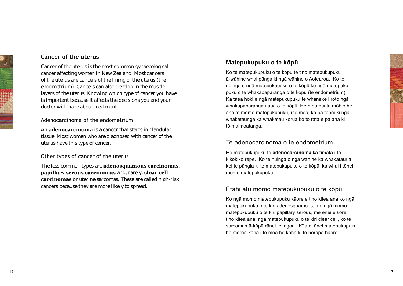

# **Cancer of the uterus**

Cancer of the uterus is the most common gynaecological cancer affecting women in New Zealand. Most cancers of the uterus are cancers of the lining of the uterus (the endometrium). Cancers can also develop in the muscle layers of the uterus. Knowing which type of cancer you have is important because it affects the decisions you and your doctor will make about treatment.

## Adenocarcinoma of the endometrium

An **adenocarcinoma** is a cancer that starts in glandular tissue. Most women who are diagnosed with cancer of the uterus have this type of cancer.

## Other types of cancer of the uterus

The less common types are **adenosquamous carcinomas**, **papillary serous carcinomas** and, rarely, clear cell **carcinomas** or uterine sarcomas. These are called high-risk cancers because they are more likely to spread.

# **Matepukupuku o te köpü**

Ko te matepukupuku o te kōpū te tino matepukupuku ā-wāhine whai pānga ki ngā wāhine o Aotearoa. Ko te nuinga o ngā matepukupuku o te kōpū ko ngā matepukupuku o te whakapaparanga o te kōpū (te endometrium). Ka taea hoki e ngā matepukupuku te whanake i roto ngā whakapaparanga uaua o te kōpū. He mea nui te mōhio he aha tō momo matepukupuku, i te mea, ka pā tēnei ki ngā whakataunga ka whakatau kōrua ko tō rata e pā ana ki tō maimoatanga.

# Te adenocarcinoma o te endometrium

He matepukupuku te adenocarcinoma ka tīmata i te kikokiko repe. Ko te nuinga o ngā wāhine ka whakatauria kei te pāngia ki te matepukupuku o te kōpū, ka whai i tēnei momo matepukupuku.

# Ētahi atu momo matepukupuku o te kōpū

Ko ngā momo matepukupuku kāore e tino kitea ana ko ngā matepukupuku o te kiri adenosquamous, me ngā momo matepukupuku o te kiri papillary serous, me ēnei e kore tino kitea ana, ngā matepukupuku o te kiri clear cell, ko te sarcomas ā-kōpū rānei te ingoa. Kīja ai ēnei matepukupuku he mõrea-kaha i te mea he kaha ki te hõrapa haere.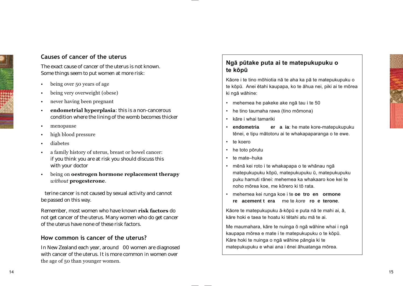# Causes of cancer of the uterus

The exact cause of cancer of the uterus is not known. Some things seem to put women at more risk:

- being over 50 years of age
- being very overweight (obese)
- never having been pregnant
- endometrial hyperplasia: this is a non-cancerous condition where the lining of the womb becomes thicker
- menopause
- high blood pressure
- diabetes
- a family history of uterus, breast or bowel cancer: if you think you are at risk you should discuss this with your doctor
- being on oestrogen hormone replacement therapy without progesterone.

terine cancer is not caused by sexual activity and cannot be passed on this way.

Remember, most women who have known risk factors do not get cancer of the uterus. Many women who do get cancer of the uterus have none of these risk factors.

# How common is cancer of the uterus?

In New Zealand each year, around 00 women are diagnosed with cancer of the uterus. It is more common in women over the age of 50 than younger women.

# Ngā pūtake puta ai te matepukupuku o te kōpū

Kāore i te tino mōhiotia nā te aha ka pā te matepukupuku o te kōpū. Anei ētahi kaupapa, ko te āhua nei, piki ai te mōrea ki ngā wāhine:

- · mehemea he pakeke ake ngā tau i te 50
- he tino taumaha rawa (tino mōmona)
- kāre i whai tamariki
- er a ia: he mate kore-matepukupuku · endometria tēnei, e tipu mātotoru ai te whakapaparanga o te ewe.
- $\cdot$  te koero
- he toto pōrutu
- $\cdot$  te mate-huka
- · mēnā kei roto i te whakapapa o te whānau ngā matepukupuku kōpū, matepukupuku ū, matepukupuku puku hamuti rānei: mehemea ka whakaaro koe kei te noho mõrea koe, me kõrero ki tõ rata.
- . mehemea kei runga koe i te oe tro en ormone re acement t era me te kore ro e terone.

Kāore te matepukupuku ā-kōpū e puta nā te mahi ai. ā. kāre hoki e taea te hoatu ki tētahi atu mā te ai.

Me maumahara, kāre te nuinga ō ngā wāhine whai i ngā kaupapa mōrea e mate i te matepukupuku o te kōpū. Kāre hoki te nuinga o ngā wāhine pāngia ki te matepukupuku e whai ana i ēnei āhuatanga mōrea.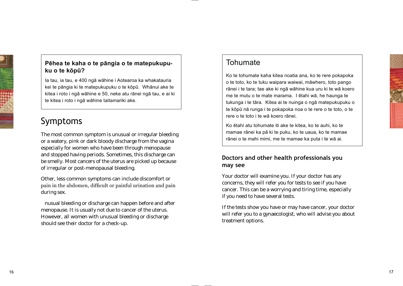

# Pēhea te kaha o te pāngia o te matepukupuku o te kōpū?

la tau, ia tau, e 400 ngā wāhine i Aotearoa ka whakatauria kei te pāngia ki te matepukupuku o te kōpū. Whānui ake te kitea i roto i ngā wāhine e 50, neke atu rānei ngā tau, e ai ki te kitea i roto i ngā wāhine taitamariki ake.

# Symptoms

The most common symptom is unusual or irregular bleeding or a watery, pink or dark bloody discharge from the vagina especially for women who have been through menopause and stopped having periods. Sometimes, this discharge can be smelly. Most cancers of the uterus are picked up because of irregular or post-menopausal bleeding.

Other, less common symptoms can include discomfort or pain in the abdomen, difficult or painful urination and pain during sex.

nusual bleeding or discharge can happen before and after menopause. It is usually not due to cancer of the uterus. However, all women with unusual bleeding or discharge should see their doctor for a check-up.

# Tohumate

Ko te tohumate kaha kitea noatia ana, ko te rere pokapoka o te toto, ko te tuku waipara waiwai, māwhero, toto pango rānei i te tara; tae ake ki ngā wāhine kua uru ki te wā koero me te mutu o te mate marama. I ētahi wā, he haunga te tukunga i te tāra. Kitea ai te nuinga o ngā matepukupuku o te kōpū nā runga i te pokapoka noa o te rere o te toto, o te rere o te toto i te wā koero rānei

Ko ētahi atu tohumate iti ake te kitea, ko te auhi, ko te mamae rānei ka pā ki te puku, ko te uaua, ko te mamae rânei o te mahi mimi, me te mamae ka puta i te wā ai.

# Doctors and other health professionals you may see

Your doctor will examine you. If your doctor has any concerns, they will refer you for tests to see if you have cancer. This can be a worrying and tiring time, especially if you need to have several tests.

If the tests show you have or may have cancer, your doctor will refer you to a gynaecologist, who will advise you about treatment options.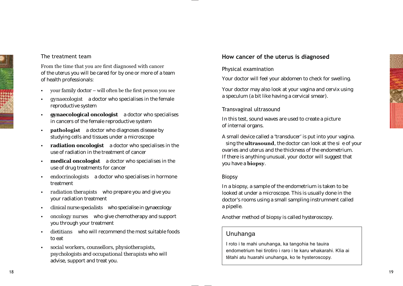# The treatment team

From the time that you are first diagnosed with cancer of the uterus you will be cared for by one or more of a team of health professionals:

- your family doctor will often be the first person you see
- *gynaecologist* a doctor who specialises in the female reproductive system
- **gynaecological oncologist** a doctor who specialises in cancers of the female reproductive system
- pathologist a doctor who diagnoses disease by studying cells and tissues under a microscope
- **radiation oncologist** a doctor who specialises in the use of radiation in the treatment of cancer
- **medical oncologist** a doctor who specialises in the use of drug treatments for cancer
- *endocrinologists* a doctor who specialises in hormone treatment
- *radiation therapists* who prepare you and give you your radiation treatment
- *clinical nurse specialists* who specialise in gynaecology
- *oncology nurses* who give chemotherapy and support you through your treatment
- *dietitians* who will recommend the most suitable foods to eat
- *social workers*, *counsellors*, *physiotherapists*, *psychologists* and *occupational therapists* who will advise, support and treat you.

# **How cancer of the uterus is diagnosed**

## Physical examination

Your doctor will feel your abdomen to check for swelling.

Your doctor may also look at your vagina and cervix using a speculum (a bit like having a cervical smear).

# Transvaginal ultrasound

In this test, sound waves are used to create a picture of internal organs.

A small device called a 'transducer' is put into your vagina. sing the **ultrasound**, the doctor can look at the si e of your ovaries and uterus and the thickness of the endometrium. If there is anything unusual, your doctor will suggest that you have a **biopsy**.

## Biopsy

In a biopsy, a sample of the endometrium is taken to be looked at under a microscope. This is usually done in the doctor's rooms using a small sampling instrumnent called a pipelle.

Another method of biopsy is called hysteroscopy.

# Unuhanga

I roto i te mahi unuhanga, ka tangohia he tauira endometrium hei tirotiro i raro i te karu whakarahi. Kīja ai tētahi atu huarahi unuhanga, ko te hysteroscopy.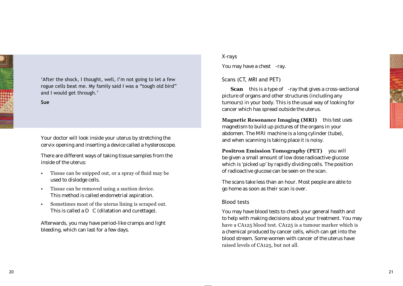

'After the shock, I thought, well, I'm not going to let a few rogue cells beat me. My family said I was a "tough old bird" and I would get through.'

**Sue**

Your doctor will look inside your uterus by stretching the cervix opening and inserting a device called a hysteroscope.

There are different ways of taking tissue samples from the inside of the uterus:

- Tissue can be snipped out, or a spray of fluid may be used to dislodge cells.
- Tissue can be removed using a suction device. This method is called endometrial aspiration.
- Sometimes most of the uterus lining is scraped out. This is called a D C (dilatation and curettage).

Afterwards, you may have period-like cramps and light bleeding, which can last for a few days.

## X-rays

You may have a chest -ray.

Scans (CT, MRI and PET)

 **Scan** this is a type of -ray that gives a cross-sectional picture of organs and other structures (including any tumours) in your body. This is the usual way of looking for cancer which has spread outside the uterus.

**Magnetic Resonance Imaging (MRI)** this test uses magnetism to build up pictures of the organs in your abdomen. The MRI machine is a long cylinder (tube), and when scanning is taking place it is noisy.

**Positron Emission Tomography (PET)** you will be given a small amount of low dose radioactive glucose which is 'picked up' by rapidly dividing cells. The position of radioactive glucose can be seen on the scan.

The scans take less than an hour. Most people are able to go home as soon as their scan is over.

## Blood tests

You may have blood tests to check your general health and to help with making decisions about your treatment. You may have a CA125 blood test. CA125 is a tumour marker which is a chemical produced by cancer cells, which can get into the blood stream. Some women with cancer of the uterus have raised levels of CA125, but not all.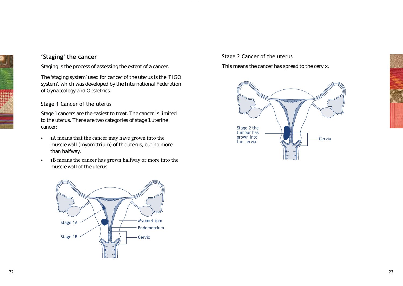

# **'Staging' the cancer**

Staging is the process of assessing the extent of a cancer.

The 'staging system' used for cancer of the uterus is the 'FIGO system', which was developed by the International Federation of Gynaecology and Obstetrics.

## Stage 1 Cancer of the uterus

Stage 1 cancers are the easiest to treat. The cancer is limited to the uterus. There are two categories of stage 1 uterine cancer:

- $\cdot$  1A means that the cancer may have grown into the muscle wall (myometrium) of the uterus, but no more than halfway.
- $\cdot$  1B means the cancer has grown halfway or more into the muscle wall of the uterus.

# Stage 2 Cancer of the uterus

This means the cancer has spread to the cervix.



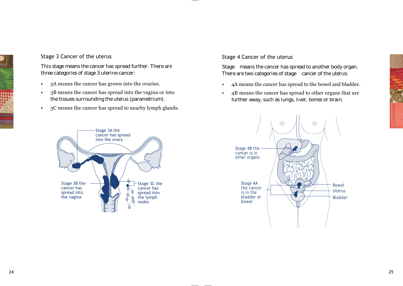## Stage 3 Cancer of the uterus

This stage means the cancer has spread further. There are three categories of stage 3 uterine cancer:

- 3A means the cancer has grown into the ovaries.
- $\cdot$  3B means the cancer has spread into the vagina or into the tissues surrounding the uterus (parametrium).
- $\cdot$  3C means the cancer has spread to nearby lymph glands.

# Stage 4 Cancer of the uterus

Stage means the cancer has spread to another body organ. There are two categories of stage cancer of the uterus:

- 4A means the cancer has spread to the bowel and bladder.
- 4B means the cancer has spread to other organs that are further away, such as lungs, liver, bones or brain.



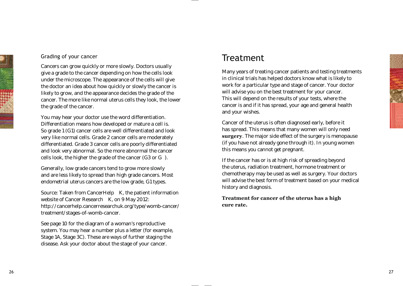# Grading of your cancer

Cancers can grow quickly or more slowly. Doctors usually give a grade to the cancer depending on how the cells look under the microscope. The appearance of the cells will give the doctor an idea about how quickly or slowly the cancer is likely to grow, and the appearance decides the grade of the cancer. The more like normal uterus cells they look, the lower the grade of the cancer.

You may hear your doctor use the word differentiation. Differentiation means how developed or mature a cell is. So grade 1 (G1) cancer cells are well differentiated and look very like normal cells. Grade 2 cancer cells are moderately differentiated. Grade 3 cancer cells are poorly differentiated and look very abnormal. So the more abnormal the cancer cells look, the higher the grade of the cancer (G3 or G ).

Generally, low grade cancers tend to grow more slowly and are less likely to spread than high grade cancers. Most endometrial uterus cancers are the low grade, G1 types.

Source: Taken from CancerHelp K, the patient information website of Cancer Research K, on 9 May 2012: http://cancerhelp.cancerresearchuk.org/type/womb-cancer/ treatment/stages-of-womb-cancer.

See page 10 for the diagram of a woman's reproductive system. You may hear a number plus a letter (for example, Stage 1A, Stage 3C). These are ways of further staging the disease. Ask your doctor about the stage of your cancer.

# Treatment

Many years of treating cancer patients and testing treatments in clinical trials has helped doctors know what is likely to work for a particular type and stage of cancer. Your doctor will advise you on the best treatment for your cancer. This will depend on the results of your tests, where the cancer is and if it has spread, your age and general health and your wishes.

Cancer of the uterus is often diagnosed early, before it has spread. This means that many women will only need surgery. The major side effect of the surgery is menopause (if you have not already gone through it). In young women this means you cannot get pregnant.

If the cancer has or is at high risk of spreading beyond the uterus, radiation treatment, hormone treatment or chemotherapy may be used as well as surgery. Your doctors will advise the best form of treatment based on your medical history and diagnosis.

Treatment for cancer of the uterus has a high *<u>cure</u>* rate.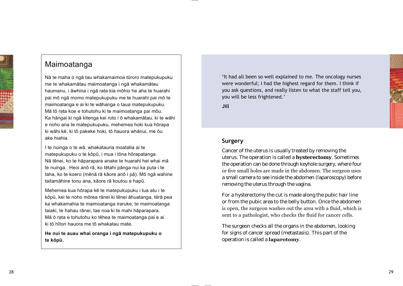

# Maimoatanga

Nā te maha o ngā tau whakamaimoa tūroro matepukupuku me te whakamātau maimoatanga i ngā whakamātau haumanu, i āwhina i ngā rata kia mōhio he aha te huarahi pai mō ngā momo matepukupuku me te huarahi pai mō te maimoatanga e ai ki te wāhanga o taua matepukupuku. Mā tō rata koe e tohutohu ki te maimoatanga pai mōu. Ka hāngai ki ngā kitenga kei roto i ō whakamātau, ki te wāhi e noho ana te matepukupuku, mehemea hoki kua hōrapa ki wāhi kē, ki tō pakeke hoki, tō hauora whānui, me ōu ake hiahia

I te nuinga o te wā, whakatauria moatatia ai te matepukupuku o te kōpū, i mua i tōna hōrapatanga. Nā tēnei, ko te hāparapara anake te huarahi hei whai mā te nuinga. Heoi anō rā, ko tētahi pānga nui ka puta i te taha, ko te koero (mēnā rā kāore anō i pā). Mō ngā wahine taitamāhine tonu ana, kāore rā koutou e hapū.

Mehemea kua hōrapa kē te matepukupuku i tua atu i te kōpū, kei te noho mōrea rānei ki tēnei āhuatanga, tērā pea ka whakamahia te maimoatanga iraruke, te maimoatanga taiaki, te hahau rānei, tae noa ki te mahi hāparapara. Mā ō rata e tohutohu ko tēhea te maimoatanga pai e ai ki tō hītori hauora me tō whakatau mate.

He nui te auau whai oranga i ngā matepukupuku o te kōpū.

'It had all been so well explained to me. The oncology nurses were wonderful; I had the highest regard for them. I think if you ask questions, and really listen to what the staff tell you, you will be less frightened.'

**Jill**

# **Surgery**

Cancer of the uterus is usually treated by removing the uterus. The operation is called a **hysterectomy**. Sometimes the operation can be done through keyhole surgery, where four or five small holes are made in the abdomen. The surgeon uses a small camera to see inside the abdomen (laparoscopy) before removing the uterus through the vagina.

For a hysterectomy the cut is made along the pubic hair line or from the pubic area to the belly button. Once the abdomen is open, the surgeon washes out the area with a fluid, which is sent to a pathologist, who checks the fluid for cancer cells.

The surgeon checks all the organs in the abdomen, looking for signs of cancer spread (metastasis). This part of the operation is called a **laparotomy**.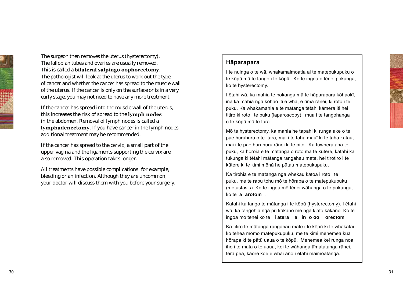

The surgeon then removes the uterus (hysterectomy). The fallopian tubes and ovaries are usually removed. This is called a **bilateral salpingo** oophorectomy. The pathologist will look at the uterus to work out the type of cancer and whether the cancer has spread to the muscle wall of the uterus. If the cancer is only on the surface or is in a very early stage, you may not need to have any more treatment.

If the cancer has spread into the muscle wall of the uterus, this increases the risk of spread to the **lymph nodes** in the abdomen. Removal of lymph nodes is called a **lymphadenectomy**. If you have cancer in the lymph nodes, additional treatment may be recommended.

If the cancer has spread to the cervix, a small part of the upper vagina and the ligaments supporting the cervix are also removed. This operation takes longer.

All treatments have possible complications: for example, bleeding or an infection. Although they are uncommon, your doctor will discuss them with you before your surgery.

# **H**āparapara

I te nuinga o te wā, whakamaimoatia ai te matepukupuku o te kōpū mā te tango i te kōpū. Ko te ingoa o tēnei pokanga. ko te hysterectomy.

I ētahi wā, ka mahia te pokanga mā te hāparapara kōhaokī, ina ka mahia ngā kōhao iti e whā, e rima rānei, ki roto i te puku. Ka whakamahia e te mātanga tētahi kāmera iti hei titiro ki roto i te puku (laparoscopy) i mua i te tangohanga o te kōpū mā te tara.

Mō te hysterectomy, ka mahia he tapahi ki runga ake o te pae huruhuru o te tara, mai i te taha mauī ki te taha katau, mai i te pae huruhuru rānei ki te pito. Ka tuwhera ana te puku, ka horoia e te mātanga o roto mā te kūtere, katahi ka tukunga ki tētahi mātanga rangahau mate, hei tirotiro i te kūtere ki te kimi mēnā he pūtau matepukupuku.

Ka tirohia e te mātanga ngā whēkau katoa i roto i te puku, me te rapu tohu mō te hōrapa o te matepukupuku (metastasis). Ko te ingoa mō tēnei wāhanga o te pokanga, ko te **a arotom**.

Katahi ka tango te mātanga i te kōpū (hysterectomy). I ētahi wā, ka tangohia ngā pū kākano me ngā kiato kākano. Ko te ingoa mō tēnei ko te **i atera a in o oo orectom**.

Ka titiro te mātanga rangahau mate i te kōpū ki te whakatau ko tēhea momo matepukupuku, me te kimi mehemea kua hōrapa ki te pātū uaua o te kōpū. Mehemea kei runga noa iho i te mata o te uaua, kei te wāhanga tīmatatanga rānei, tērā pea, kāore koe e whai anō i etahi maimoatanga.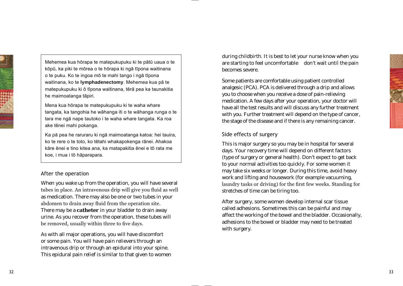

Mehemea kua hōrapa te matepukupuku ki te pātū uaua o te kōpū, ka piki te mōrea o te hōrapa ki ngā tīpona waitinana o te puku. Ko te ingoa mō te mahi tango i ngā tīpona waitinana, ko te lymphadenectomy. Mehemea kua pā te matepukupuku ki ō tīpona waitinana, tērā pea ka taunakitia he maimoatanga tāpiri.

Mena kua hōrapa te matepukupuku ki te waha whare tangata, ka tangohia he wāhanga iti o te wāhanga runga o te tara me ngā nape tautoko i te waha whare tangata. Ka roa ake tēnei mahi pokanga.

Ka pā pea he raruraru ki ngā maimoatanga katoa: hei tauira, ko te rere o te toto, ko tētahi whakapokenga rānei. Ahakoa kāre ēnei e tino kitea ana, ka matapakitia ēnei e tō rata me koe, i mua i tō hāparapara.

## After the operation

When you wake up from the operation, you will have several tubes in place. An intravenous drip will give you fluid as well as medication. There may also be one or two tubes in your abdomen to drain away fluid from the operation site. There may be a catheter in your bladder to drain away urine. As you recover from the operation, these tubes will be removed, usually within three to five days.

As with all major operations, you will have discomfort or some pain. You will have pain relievers through an intravenous drip or through an epidural into your spine. This epidural pain relief is similar to that given to women during childbirth. It is best to let your nurse know when you are starting to feel uncomfortable don't wait until the pain becomes severe.

Some patients are comfortable using patient controlled analgesic (PCA). PCA is delivered through a drip and allows you to choose when you receive a dose of pain-relieving medication. A few days after your operation, your doctor will have all the test results and will discuss any further treatment with you. Further treatment will depend on the type of cancer, the stage of the disease and if there is any remaining cancer.

## Side effects of surgery

This is major surgery so you may be in hospital for several days. Your recovery time will depend on different factors (type of surgery or general health). Don't expect to get back to your normal activities too quickly. For some women it may take six weeks or longer. During this time, avoid heavy work and lifting and housework (for example vacuuming, laundry tasks or driving) for the first few weeks. Standing for stretches of time can be tiring too.

After surgery, some women develop internal scar tissue called adhesions. Sometimes this can be painful and may affect the working of the bowel and the bladder. Occasionally, adhesions to the bowel or bladder may need to be treated with surgery.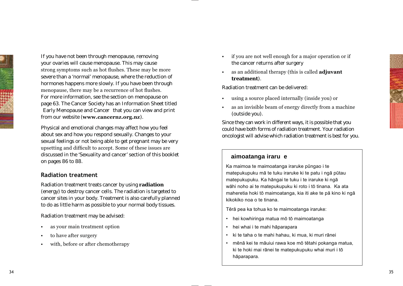

If you have not been through menopause, removing your ovaries will cause menopause. This may cause strong symptoms such as hot flushes. These may be more severe than a 'normal' menopause, where the reduction of hormones happens more slowly. If you have been through menopause, there may be a recurrence of hot flushes. For more information, see the section on menopause on page 63. The Cancer Society has an Information Sheet titled Early Menopause and Cancer that you can view and print from our website (**www.cancernz.org.nz**).

Physical and emotional changes may affect how you feel about sex and how you respond sexually. Changes to your sexual feelings or not being able to get pregnant may be very upsetting and difficult to accept. Some of these issues are discussed in the 'Sexuality and cancer' section of this booklet on pages 86 to 88.

## **Radiation treatment**

Radiation treatment treats cancer by using **radiation** (energy) to destroy cancer cells. The radiation is targeted to cancer sites in your body. Treatment is also carefully planned to do as little harm as possible to your normal body tissues.

Radiation treatment may be advised:

- as your main treatment option
- to have after surgery
- with, before or after chemotherapy
- if you are not well enough for a major operation or if the cancer returns after surgery
- as an additional therapy (this is called **adjuvant treatment**).

Radiation treatment can be delivered:

- using a source placed internally (inside you) or
- as an invisible beam of energy directly from a machine (outside you).

Since they can work in different ways, it is possible that you could have both forms of radiation treatment. Your radiation oncologist will advise which radiation treatment is best for you.

# **aimoatanga iraru e**

Ka maimoa te maimoatanga iraruke pūngao i te matepukupuku mā te tuku iraruke ki te patu i ngā pūtau matepukupuku. Ka hāngai te tuku i te iraruke ki ngā wāhi noho ai te matepukupuku ki roto i tō tinana. Ka ata maheretia hoki tō maimoatanga, kia iti ake te pā kino ki ngā kikokiko noa o te finana

Tērā pea ka tohua ko te maimoatanga iraruke:

- hei kowhiringa matua mō tō maimoatanga
- · hei whai i te mahi hāparapara
- ki te taha o te mahi hahau, ki mua, ki muri rānei
- mēnā kei te māuiui rawa koe mō tētahi pokanga matua, ki te hoki mai rānei te matepukupuku whai muri i tō hāparapara.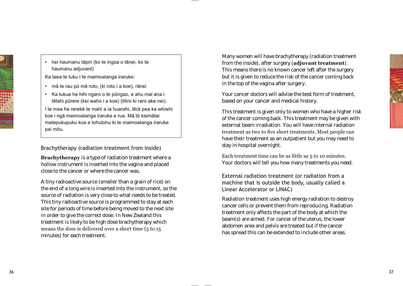

Ka taea te tuku i te maimoatanga iraruke:

- · mā te rau pū mā roto, (ki roto i a koe), rānei
- Ka tukua he hihi ngaro o te pūngao, e ahu mai ana i tētahi pūrere (kei waho i a koe) (titiro ki raro ake nei).

I te mea he rerekē te mahi a ia huarahi, tērā pea ka whiwhi koe i ngā maimoatanga iraruke e rua. Mā tō kaimātai matepukupuku koe e tohutohu ki te maimoatanga iraruke pai mōu.

Brachytherapy (radiation treatment from inside)

**Brachytherapy** is a type of radiation treatment where a hollow instrument is inserted into the vagina and placed close to the cancer or where the cancer was.

A tiny radioactive source (smaller than a grain of rice) on the end of a long wire is inserted into the instrument, so the source of radiation is very close to what needs to be treated. This tiny radioactive source is programmed to stay at each site for periods of time before being moved to the next site in order to give the correct dose. In New Zealand this treatment is likely to be high dose brachytherapy which means the dose is delivered over a short time  $(5 \text{ to } 15)$ minutes) for each treatment.

Many women will have brachytherapy (radiation treatment from the inside), after surgery (**adjuvant treatment**). This means there is no known cancer left after the surgery but it is given to reduce the risk of the cancer coming back in the top of the vagina after surgery.

Your cancer doctors will advise the best form of treatment, based on your cancer and medical history.

This treatment is given only to women who have a higher risk of the cancer coming back. This treatment may be given with external beam irradiation. You will have internal radiation treatment as two to five short treatments. Most people can have their treatment as an outpatient but you may need to stay in hospital overnight.

Each treatment time can be as little as  $5$  to 10 minutes. Your doctors will tell you how many treatments you need.

External radiation treatment (or radiation from a machine that is outside the body, usually called a Linear Accelerator or LINAC)

Radiation treatment uses high energy radiation to destroy cancer cells or prevent them from reproducing. Radiation treatment only affects the part of the body at which the beam(s) are aimed. For cancer of the uterus, the lower abdomen area and pelvis are treated but if the cancer has spread this can be extended to include other areas.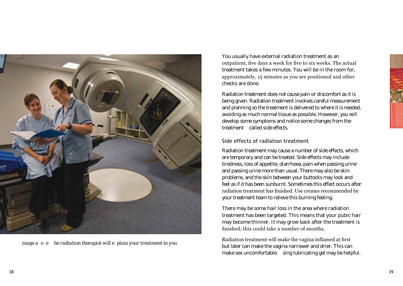



*mage a o e he radiation therapist will e plain your treatment to you*

You usually have external radiation treatment as an outpatient, five days a week for five to six weeks. The actual treatment takes a few minutes. You will be in the room for, approximately,  $15$  minutes as you are positioned and other checks are done.

Radiation treatment does not cause pain or discomfort as it is being given. Radiation treatment involves careful measurement and planning so the treatment is delivered to where it is needed, avoiding as much normal tissue as possible. However, you will develop some symptoms and notice some changes from the treatment called side effects.

## Side effects of radiation treatment

Radiation treatment may cause a number of side effects, which are temporary and can be treated. Side effects may include tiredness, loss of appetite, diarrhoea, pain when passing urine and passing urine more than usual. There may also be skin problems, and the skin between your buttocks may look and feel as if it has been sunburnt. Sometimes this effect occurs after radiation treatment has finished. Use creams recommended by your treatment team to relieve this burning feeling.

There may be some hair loss in the area where radiation treatment has been targeted. This means that your pubic hair may become thinner. It may grow back after the treatment is finished; this could take a number of months.

Radiation treatment will make the vagina inflamed at first but later can make the vagina narrower and drier. This can make sex uncomfortable. sing lubricating gel may be helpful.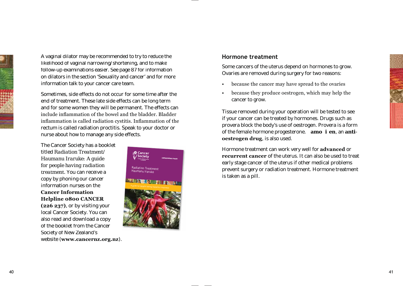

A vaginal dilator may be recommended to try to reduce the likelihood of vaginal narrowing/shortening, and to make follow-up examinations easier. See page 87 for information on dilators in the section 'Sexuality and cancer' and for more information talk to your cancer care team.

Sometimes, side effects do not occur for some time after the end of treatment. These late side effects can be long term and for some women they will be permanent. The effects can include inflammation of the bowel and the bladder. Bladder inflammation is called radiation cystitis. Inflammation of the rectum is called radiation proctitis. Speak to your doctor or nurse about how to manage any side effects.

The Cancer Society has a booklet titled *Radiation Treatment/ Haumanu Iraruke: A guide for people having radiation treatment*. You can receive a copy by phoning our cancer information nurses on the **Cancer Information Helpline 0800 CANCER**  $(226 237)$ , or by visiting your local Cancer Society. You can also read and download a copy of the booklet from the Cancer Society of New Zealand's website (www.cancernz.org.nz).



## **Hormone treatment**

Some cancers of the uterus depend on hormones to grow. Ovaries are removed during surgery for two reasons:

- because the cancer may have spread to the ovaries
- because they produce oestrogen, which may help the cancer to grow.

Tissue removed during your operation will be tested to see if your cancer can be treated by hormones. Drugs such as provera block the body's use of oestrogen. Provera is a form of the female hormone progesterone. **amo i en**, an **antibuyier of also used. Respectively** 

Hormone treatment can work very well for **advanced** or recurrent cancer of the uterus. It can also be used to treat early stage cancer of the uterus if other medical problems prevent surgery or radiation treatment. Hormone treatment is taken as a pill.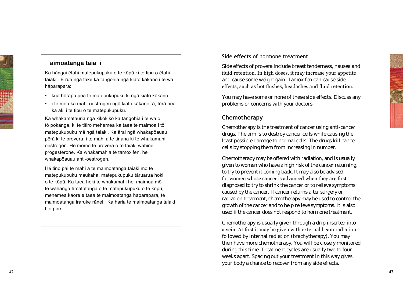# aimoatanga taia i

Ka hāngai ētahi matepukupuku o te kōpū ki te tipu o ētahi taiaki. E rua ngā take ka tangohia ngā kiato kākano i te wā hāparapara:

- kua hōrapa pea te matepukupuku ki ngā kiato kākano
- · i te mea ka mahi oestrogen ngā kiato kākano, ā, tērā pea ka aki i te tipu o te matepukupuku.

Ka whakamātauria ngā kikokiko ka tangohia i te wā o tō pokanga, ki te titiro mehemea ka taea te maimoa i tō matepukupuku mā ngā taiaki. Ka ārai ngā whakapōauau pērā ki te provera, i te mahi a te tinana ki te whakamahi oestrogen. He momo te provera o te taiaki wahine progesterone. Ka whakamahia te tamoxifen, he whakapōauau anti-oestrogen.

He tino pai te mahi a te maimoatanga taiaki mō te matepukupuku maukaha, matepukupuku tāruarua hoki o te kōpū. Ka taea hoki te whakamahi hei maimoa mō te wāhanga tīmatatanga o te matepukupuku o te kōpū, mehemea kāore e taea te maimoatanga hāparapara, te maimoatanga iraruke rānei. Ka haria te maimoatanga taiaki hei pire.

# Side effects of hormone treatment

Side effects of provera include breast tenderness, nausea and fluid retention. In high doses, it may increase your appetite and cause some weight gain. Tamoxifen can cause side effects, such as hot flushes, headaches and fluid retention.

You may have some or none of these side effects. Discuss any problems or concerns with your doctors.

# Chemotherapy

Chemotherapy is the treatment of cancer using anti-cancer drugs. The aim is to destroy cancer cells while causing the least possible damage to normal cells. The drugs kill cancer cells by stopping them from increasing in number.

Chemotherapy may be offered with radiation, and is usually given to women who have a high risk of the cancer returning, to try to prevent it coming back. It may also be advised for women whose cancer is advanced when they are first diagnosed to try to shrink the cancer or to relieve symptoms caused by the cancer. If cancer returns after surgery or radiation treatment, chemotherapy may be used to control the growth of the cancer and to help relieve symptoms. It is also used if the cancer does not respond to hormone treatment.

Chemotherapy is usually given through a drip inserted into a vein. At first it may be given with external beam radiation followed by internal radiation (brachytherapy). You may then have more chemotherapy. You will be closely monitored during this time. Treatment cycles are usually two to four weeks apart. Spacing out your treatment in this way gives your body a chance to recover from any side effects.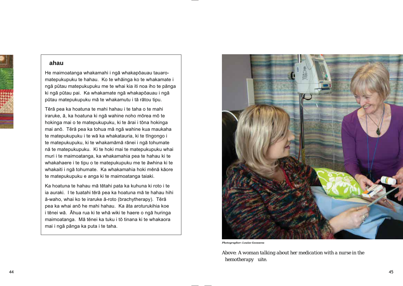

## **ahau**

He maimoatanga whakamahi i ngā whakapōauau tauaromatepukupuku te hahau. Ko te whāinga ko te whakamate i ngā pūtau matepukupuku me te whai kia iti noa iho te pānga ki ngā pūtau pai. Ka whakamate ngā whakapōauau i ngā pūtau matepukupuku mā te whakamutu i tā rātou tipu.

Tērā pea ka hoatuna te mahi hahau i te taha o te mahi iraruke, ā, ka hoatuna ki ngā wahine noho mōrea mō te hokinga mai o te matepukupuku, ki te ārai i tōna hokinga mai anō. Tērā pea ka tohua mā ngā wahine kua maukaha te matepukupuku i te wā ka whakatauria, ki te tīngongo i te matepukupuku, ki te whakamāmā rānei i ngā tohumate nā te matepukupuku. Ki te hoki mai te matepukupuku whai muri i te maimoatanga, ka whakamahia pea te hahau ki te whakahaere i te tipu o te matepukupuku me te āwhina ki te whakaiti i ngā tohumate. Ka whakamahia hoki mēnā kāore te matepukupuku e anga ki te maimoatanga taiaki.

Ka hoatuna te hahau mā tētahi pata ka kuhuna ki roto i te ia auraki. I te tuatahi tērā pea ka hoatuna mā te hahau hihi ā-waho, whai ko te iraruke ā-roto (brachytherapy). Tērā pea ka whai anō he mahi hahau. Ka āta aroturukihia koe i tēnei wā. Āhua rua ki te whā wiki te haere o ngā huringa maimoatanga. Mā tēnei ka tuku i tō tinana ki te whakaora mai i ngā pānga ka puta i te taha.



*Photographer: Louise Goossens*

*Above: A woman talking about her medication with a nurse in the hemotherapy uite.*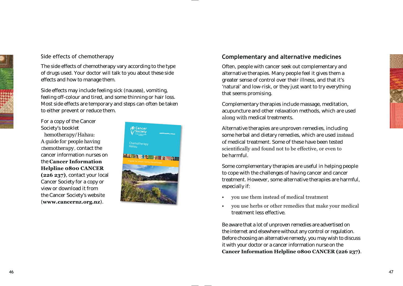# Side effects of chemotherapy

The side effects of chemotherapy vary according to the type of drugs used. Your doctor will talk to you about these side effects and how to manage them.

Side effects may include feeling sick (nausea), vomiting, feeling off-colour and tired, and some thinning or hair loss. Most side effects are temporary and steps can often be taken to either prevent or reduce them.

For a copy of the Cancer Society's booklet

*hemotherapy/Hahau: A guide for people having*  chemotherapy, contact the cancer information nurses on the **Cancer Information Helpline 0800 CANCER**  $(226 237)$ , contact your local Cancer Society for a copy or view or download it from the Cancer Society's website (www.cancernz.org.nz).



# **Complementary and alternative medicines**

Often, people with cancer seek out complementary and alternative therapies. Many people feel it gives them a greater sense of control over their illness, and that it's 'natural' and low-risk, or they just want to try everything that seems promising.

Complementary therapies include massage, meditation, acupuncture and other relaxation methods, which are used *along with* medical treatments.

Alternative therapies are unproven remedies, including some herbal and dietary remedies, which are used *instead of* medical treatment. Some of these have been tested scientifically and found not to be effective, or even to be harmful.

Some complementary therapies are useful in helping people to cope with the challenges of having cancer and cancer treatment. However, some alternative therapies are harmful, especially if:

- you use them instead of medical treatment
- you use herbs or other remedies that make your medical treatment less effective.

Be aware that a lot of unproven remedies are advertised on the internet and elsewhere without any control or regulation. Before choosing an alternative remedy, you may wish to discuss it with your doctor or a cancer information nurse on the **Cancer Information Helpline 0800 CANCER (226 237).**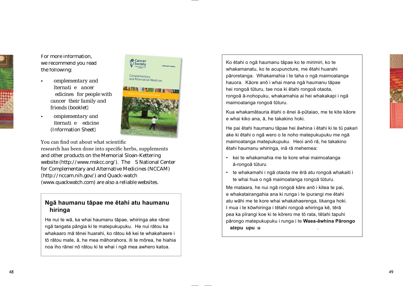

For more information, we recommend you read the following:

- *omplementary and lternati e ancer edicines for people with cancer their family and friends* (booklet)
- *omplementary and lternati e edicine* (Information Sheet)

**Complementary** and Alternative Medicine

Cancer<br>Society

**LIVING WITH CANCER**

You can find out about what scientific

research has been done into specific herbs, supplements and other products on the Memorial Sloan-Kettering website (http://www.mskcc.org/). The S National Center for Complementary and Alternative Medicines (NCCAM) (http://nccam.nih.gov/) and Quack-watch (www.quackwatch.com) are also a reliable websites.

# Ngā haumanu tāpae me ētahi atu haumanu **hiringa**

He nui te wā, ka whai haumanu tāpae, whiringa ake rānei ngā tangata pāngia ki te matepukupuku. He nui rātou ka whakaaro mā tēnei huarahi, ko rātou kē kei te whakahaere i tō rātou mate, ā, he mea māhorahora, iti te mōrea, he hiahia noa iho rānei nō rātou ki te whai i ngā mea awhero katoa.

Ko ētahi o ngā haumanu tāpae ko te mirimiri, ko te whakamanatu, ko te acupuncture, me ētahi huarahi pāroretanga. Whakamahia i te taha o ngā maimoatanga hauora. Kāore anō i whai mana ngā haumanu tāpae hei rongoā tūturu, tae noa ki ētahi rongoā otaota, rongoā ā-nohopuku, whakamahia ai hei whakakapi i ngā maimoatanga rongoā tūturu.

Kua whakamātauria ētahi o ēnei ā-pūtaiao, me te kite kāore e whai kiko ana, ā, he takakino hoki.

He pai ētahi haumanu tāpae hei āwhina i ētahi ki te tū pakari ake ki ētahi o ngā wero o te noho matepukupuku me ngā maimoatanga matepukupuku. Heoi anō rā, he takakino ētahi haumanu whiringa, inā rā mehemea:

- kei te whakamahia me te kore whai maimoatanga ā-rongoā tūturu
- te whakamahi i ngā otaota me ērā atu rongoā whakaiti i te whai hua o ngā maimoatanga rongoā tūturu.

Me mataara, he nui ngā rongoā kāre anō i kitea te pai. e whakatairangahia ana ki runga i te ipurangi me ētahi atu wāhi me te kore whai whakahaerenga, tikanga hoki. I mua i te kōwhiringa i tētahi rongoā whiringa kē, tērā pea ka pīrangi koe ki te kōrero me tō rata, tētahi tapuhi pārongo matepukupuku i runga i te Waea-āwhina Pārongo **atepu upu u**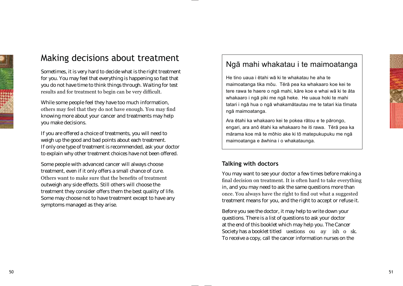

# Making decisions about treatment

Sometimes, it is very hard to decide what is the right treatment for you. You may feel that everything is happening so fast that you do not have time to think things through. Waiting for test results and for treatment to begin can be very difficult.

While some people feel they have too much information, others may feel that they do not have enough. You may find knowing more about your cancer and treatments may help you make decisions.

If you are offered a choice of treatments, you will need to weigh up the good and bad points about each treatment. If only one type of treatment is recommended, ask your doctor to explain why other treatment choices have not been offered.

Some people with advanced cancer will always choose treatment, even if it only offers a small chance of cure. Others want to make sure that the benefits of treatment outweigh any side effects. Still others will choose the treatment they consider offers them the best quality of life. Some may choose not to have treatment except to have any symptoms managed as they arise.

# Ngā mahi whakatau i te maimoatanga

He tino uaua i ētahi wā ki te whakatau he aha te maimoatanga tika mōu. Tērā pea ka whakaaro koe kei te tere rawa te haere o ngā mahi, kāre koe e whai wā ki te āta whakaaro i ngā piki me ngā heke. He uaua hoki te mahi tatari i ngā hua o ngā whakamātautau me te tatari kia tīmata ngā maimoatanga.

Ara ētahi ka whakaaro kei te pokea rātou e te pārongo, engari, ara anō ētahi ka whakaaro he iti rawa. Tērā pea ka mārama koe mā te mōhio ake ki tō matepukupuku me ngā maimoatanga e āwhina i o whakataunga.

# **Talking with doctors**

You may want to see your doctor a few times before making a final decision on treatment. It is often hard to take everything in, and you may need to ask the same questions more than once. You always have the right to find out what a suggested treatment means for you, and the right to accept or refuse it.

Before you see the doctor, it may help to write down your questions. There is a list of questions to ask your doctor at the end of this booklet which may help you. The Cancer Society has a booklet titled *uestions ou ay ish o sk*. To receive a copy, call the cancer information nurses on the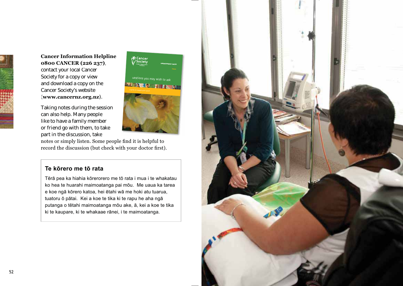

**Cancer Information Helpline 0800 CANCER (226 237)**, contact your local Cancer Society for a copy or view and download a copy on the Cancer Society's website (**www.cancernz.org.nz**).



Taking notes during the session can also help. Many people like to have a family member or friend go with them, to take part in the discussion, take

notes or simply listen. Some people find it is helpful to record the discussion (but check with your doctor first).

# Te kōrero me tō rata

Tērā pea ka hiahia kōrerorero me tō rata i mua i te whakatau ko hea te huarahi maimoatanga pai mōu. Me uaua ka tarea e koe ngā kōrero katoa, hei ētahi wā me hoki atu tuarua, tuatoru ō pātai. Kei a koe te tika ki te rapu he aha ngā putanga o tētahi maimoatanga mōu ake, ā, kei a koe te tika ki te kaupare, ki te whakaae rānei, i te maimoatanga.

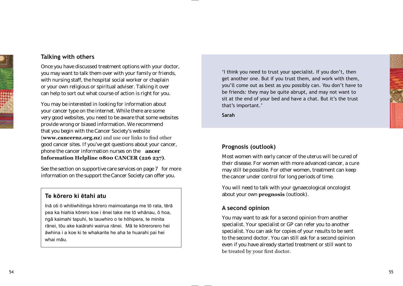

# **Talking with others**

Once you have discussed treatment options with your doctor, you may want to talk them over with your family or friends, with nursing staff, the hospital social worker or chaplain or your own religious or spiritual adviser. Talking it over can help to sort out what course of action is right for you.

You may be interested in looking for information about your cancer type on the internet. While there are some very good websites, you need to be aware that some websites provide wrong or biased information. We recommend that you begin with the Cancer Society's website<br>(**www.cancernz.org.nz**) and use our links to find other good cancer sites. If you've got questions about your cancer, phone the cancer information nurses on the **ancer**  Information Helpline 0800 CANCER (226 237).

See the section on supportive care services on page 7 for more information on the support the Cancer Society can offer you.

# Te kōrero ki ētahi atu

Inā oti ō whitiwhitinga kōrero maimoatanga me tō rata, tērā pea ka hiahia kōrero koe i ēnei take me tō whānau, ō hoa. ngā kaimahi tapuhi, te tauwhiro o te hōhipera, te minita rānei, tōu ake kaiārahi wairua rānei. Mā te kōrerorero hei āwhina i a koe ki te whakarite he aha te huarahi pai hei whai māu.

'I think you need to trust your specialist. If you don't, then get another one. But if you trust them, and work with them, you'll come out as best as you possibly can. You don't have to be friends: they may be quite abrupt, and may not want to sit at the end of your bed and have a chat. But it's the trust that's important.'

**Sarah**

# **Prognosis (outlook)**

Most women with early cancer of the uterus will be cured of their disease. For women with more advanced cancer, a cure may still be possible. For other women, treatment can keep the cancer under control for long periods of time.

You will need to talk with your gynaecological oncologist about your own **prognosis** (outlook).

# **A second opinion**

You may want to ask for a second opinion from another specialist. Your specialist or GP can refer you to another specialist. You can ask for copies of your results to be sent to the second doctor. You can still ask for a second opinion even if you have already started treatment or still want to be treated by your first doctor.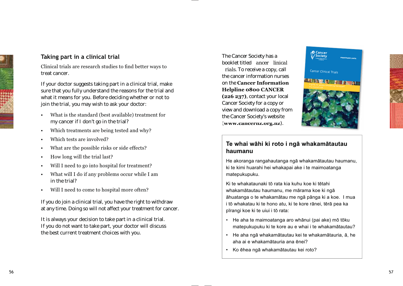# **Taking part in a clinical trial**

Clinical trials are research studies to find better ways to treat cancer.

If your doctor suggests taking part in a clinical trial, make sure that you fully understand the reasons for the trial and what it means for you. Before deciding whether or not to join the trial, you may wish to ask your doctor:

- What is the standard (best available) treatment for my cancer if I don't go in the trial?
- Which treatments are being tested and why?
- $\cdot$  Which tests are involved?
- What are the possible risks or side effects?
- How long will the trial last?
- Will I need to go into hospital for treatment?
- What will I do if any problems occur while I am in the trial?
- Will I need to come to hospital more often?

If you do join a clinical trial, you have the right to withdraw at any time. Doing so will not affect your treatment for cancer.

It is always your decision to take part in a clinical trial. If you do not want to take part, your doctor will discuss the best current treatment choices with you.

The Cancer Society has a booklet titled *ancer linical rials*. To receive a copy, call the cancer information nurses on the **Cancer Information Helpline 0800 CANCER** , contact your local Cancer Society for a copy or view and download a copy from the Cancer Society's website (www.cancernz.org.nz).



# Te whai wāhi ki roto i ngā whakamātautau **haumanu**

He akoranga rangahautanga ngā whakamātautau haumanu, ki te kimi huarahi hei whakapai ake i te maimoatanga matepukupuku.

Ki te whakataunaki tō rata kia kuhu koe ki tētahi whakamātautau haumanu, me mārama koe ki ngā āhuatanga o te whakamātau me ngā pānga ki a koe. I mua i tō whakatau ki te hono atu, ki te kore rānei, tērā pea ka pīrangi koe ki te uiui i tō rata:

- + He aha te maimoatanga aro whānui (pai ake) mō tōku matepukupuku ki te kore au e whai i te whakamātautau?
- He aha ngā whakamātautau kei te whakamātauria, ā, he aha ai e whakamātauria ana ēnei?
- Ko ēhea ngā whakamātautau kei roto?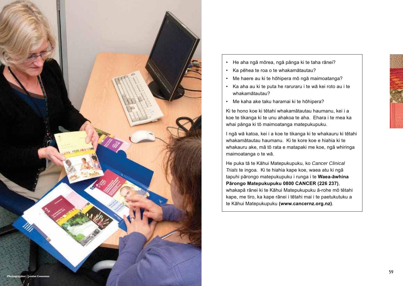

- He aha ngā mōrea, ngā pānga ki te taha rānei?
- Ka pēhea te roa o te whakamātautau?
- Me haere au ki te hōhipera mō ngā maimoatanga?
- . Ka aha au ki te puta he raruraru i te wā kei roto au i te whakamātautau?
- Me kaha ake taku haramai ki te hōhipera?

Ki te hono koe ki tētahi whakamātautau haumanu, kei i a koe te tikanga ki te unu ahakoa te aha. Ehara i te mea ka whai pānga ki tō maimoatanga matepukupuku.

I ngā wā katoa, kei i a koe te tikanga ki te whakauru ki tētahi whakamātautau haumanu. Ki te kore koe e hiahia ki te whakauru ake, mā tō rata e matapaki me koe, ngā whiringa maimoatanga o te wā.

He puka tā te Kāhui Matepukupuku, ko Cancer Clinical *Trials* te ingoa. Ki te hiahia kape koe, waea atu ki ngā tapuhi pārongo matepukupuku i runga i te Waea-āwhina Pārongo Matepukupuku 0800 CANCER (226 237), whakapā rānei ki te Kāhui Matepukupuku ā-rohe mō tētahi kape, me tiro, ka kape rānei i tētahi mai i te paetukutuku a te Kāhui Matepukupuku (www.cancernz.org.nz).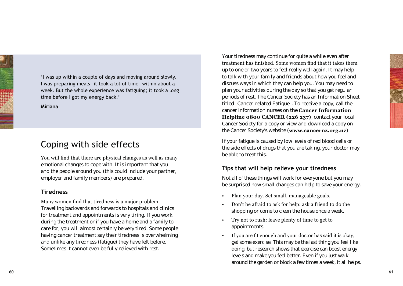'I was up within a couple of days and moving around slowly. I was preparing meals—it took a lot of time—within about a week. But the whole experience was fatiguing; it took a long time before I got my energy back.'

**Miriana**

# Coping with side effects

You will find that there are physical changes as well as many emotional changes to cope with. It is important that you and the people around you (this could include your partner, employer and family members) are prepared.

# **Tiredness**

Many women find that tiredness is a major problem. Travelling backwards and forwards to hospitals and clinics for treatment and appointments is very tiring. If you work during the treatment or if you have a home and a family to care for, you will almost certainly be very tired. Some people having cancer treatment say their tiredness is overwhelming and unlike any tiredness (fatigue) they have felt before. Sometimes it cannot even be fully relieved with rest.

Your tiredness may continue for quite a while even after treatment has finished. Some women find that it takes them up to one or two years to feel really well again. It may help to talk with your family and friends about how you feel and discuss ways in which they can help you. You may need to plan your activities during the day so that you get regular periods of rest. The Cancer Society has an Information Sheet titled Cancer-related Fatigue . To receive a copy, call the cancer information nurses on the **Cancer Information Helpline 0800 CANCER (226 237), contact your local** Cancer Society for a copy or view and download a copy on the Cancer Society's website (www.cancernz.org.nz).

If your fatigue is caused by low levels of red blood cells or the side effects of drugs that you are taking, your doctor may be able to treat this.

# **Tips that will help relieve your tiredness**

Not all of these things will work for everyone but you may be surprised how small changes can help to save your energy.

- Plan your day. Set small, manageable goals.
- Don't be afraid to ask for help: ask a friend to do the shopping or come to clean the house once a week.
- Try not to rush: leave plenty of time to get to appointments.
- If you are fit enough and your doctor has said it is okay, get some exercise. This may be the last thing you feel like doing, but research shows that exercise can boost energy levels and make you feel better. Even if you just walk around the garden or block a few times a week, it all helps.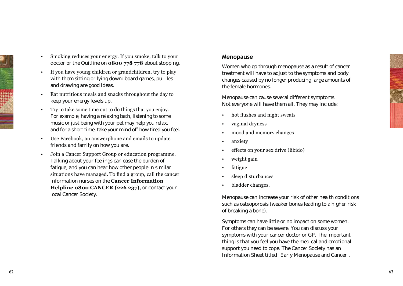- 
- Smoking reduces your energy. If you smoke, talk to your doctor or the Quitline on  $0800778778$  about stopping.
- $\cdot$  If you have young children or grandchildren, try to play with them sitting or lying down: board games, pu les and drawing are good ideas.
- Eat nutritious meals and snacks throughout the day to keep your energy levels up.
- Try to take some time out to do things that you enjoy. For example, having a relaxing bath, listening to some music or just being with your pet may help you relax, and for a short time, take your mind off how tired you feel.
- Use Facebook, an answerphone and emails to update friends and family on how you are.
- Join a Cancer Support Group or education programme. Talking about your feelings can ease the burden of fatigue, and you can hear how other people in similar situations have managed. To find a group, call the cancer information nurses on the **Cancer Information Helpline 0800 CANCER (226 237), or contact your** local Cancer Society.

## **Menopause**

Women who go through menopause as a result of cancer treatment will have to adjust to the symptoms and body changes caused by no longer producing large amounts of the female hormones.

Menopause can cause several different symptoms. Not everyone will have them all. They may include:

- hot flushes and night sweats
- vaginal dryness
- mood and memory changes
- anxiety
- effects on your sex drive (libido)
- weight gain
- fatigue
- sleep disturbances
- bladder changes.

Menopause can increase your risk of other health conditions such as osteoporosis (weaker bones leading to a higher risk of breaking a bone).

Symptoms can have little or no impact on some women. For others they can be severe. You can discuss your symptoms with your cancer doctor or GP. The important thing is that you feel you have the medical and emotional support you need to cope. The Cancer Society has an Information Sheet titled Early Menopause and Cancer .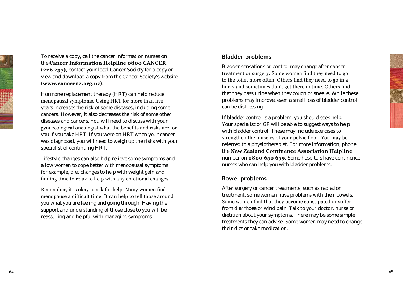

To receive a copy, call the cancer information nurses on the **Cancer Information Helpline 0800 CANCER** (226 237), contact your local Cancer Society for a copy or view and download a copy from the Cancer Society's website  $(www.camcernz.org.nz).$ 

Hormone replacement therapy (HRT) can help reduce menopausal symptoms. Using HRT for more than five years increases the risk of some diseases, including some cancers. However, it also decreases the risk of some other diseases and cancers. You will need to discuss with your gynaecological oncologist what the benefits and risks are for you if you take HRT. If you were on HRT when your cancer was diagnosed, you will need to weigh up the risks with your specialist of continuing HRT.

ifestyle changes can also help relieve some symptoms and allow women to cope better with menopausal symptoms for example, diet changes to help with weight gain and finding time to relax to help with any emotional changes.

Remember, it is okay to ask for help. Many women find menopause a difficult time. It can help to tell those around you what you are feeling and going through. Having the support and understanding of those close to you will be reassuring and helpful with managing symptoms.

# **Bladder problems**

Bladder sensations or control may change after cancer treatment or surgery. Some women find they need to go to the toilet more often. Others find they need to go in a hurry and sometimes don't get there in time. Others find that they pass urine when they cough or snee e. While these problems may improve, even a small loss of bladder control can be distressing.

If bladder control is a problem, you should seek help. Your specialist or GP will be able to suggest ways to help with bladder control. These may include exercises to strengthen the muscles of your pelvic floor. You may be referred to a physiotherapist. For more information, phone the New Zealand Continence Association Helpline number on 0800 650 659. Some hospitals have continence nurses who can help you with bladder problems.

# **Bowel problems**

After surgery or cancer treatments, such as radiation treatment, some women have problems with their bowels. Some women find that they become constipated or suffer from diarrhoea or wind pain. Talk to your doctor, nurse or dietitian about your symptoms. There may be some simple treatments they can advise. Some women may need to change their diet or take medication.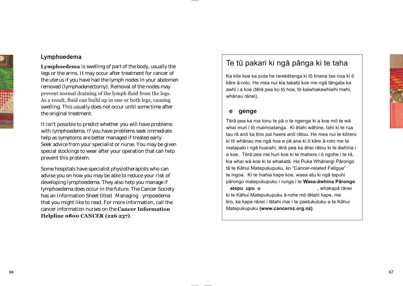

# **Lymphoedema**

Lymphoedema is swelling of part of the body, usually the legs or the arms. It may occur after treatment for cancer of the uterus if you have had the lymph nodes in your abdomen removed (lymphadenectomy). Removal of the nodes may prevent normal draining of the lymph fluid from the legs. As a result, fluid can build up in one or both legs, causing swelling. This usually does not occur until some time after the original treatment.

It isn't possible to predict whether you will have problems with lymphoedema. If you have problems seek immediate help as symptoms are better managed if treated early. Seek advice from your specialist or nurse. You may be given special stockings to wear after your operation that can help prevent this problem.

Some hospitals have specialist physiotherapists who can advise you on how you may be able to reduce your risk of developing lymphoedema. They also help you manage if lymphoedema does occur in the future. The Cancer Society has an Information Sheet titled Managing ympoedema that you might like to read. For more information, call the cancer information nurses on the **Cancer Information Helpline 0800 CANCER (226 237).** 

# Te tū pakari ki ngā pānga ki te taha

Ka kite koe ka puta he rerekētanga ki tō tinana tae noa ki ō kāre ā-roto. He mea nui kia takatū koe me ngā tāngata ka awhi i a koe (tērā pea ko tō hoa, tō kaiwhakawhiwhi mahi, whānau rānei).

# **e genge**

Tērā pea ka roa tonu te pā o te ngenge ki a koe mō te wā whai muri i tō maimoatanga. Ki ētahi wāhine, tahi ki te rua tau rā anō ka tino pai haere anō rātou. He mea nui te kōrero ki tō whānau me ngā hoa e pā ana ki ō kāre ā-roto me te matapaki i ngā huarahi, tērā pea ka āhei rātou ki te āwhina i a koe. Tērā pea me huri koe ki te mahere i ō ngohe i te rā, kia whai wā koe ki te whakatā. He Puka Whārangi Pārongo tā te Kāhui Matepukupuku, ko "Cancer-related Fatigue" te ingoa. Ki te hiahia kape koe, waea atu ki ngā tapuhi pārongo matepukupuku i runga i te Waea-āwhina Pārongo atepu upu u **zameljenih naradi na konstancji zameljenih vrhav**, whakapā rānei ki te Kāhui Matepukupuku ā-rohe mō tētahi kape, me tiro, ka kape rānei i tētahi mai i te paetukutuku a te Kāhui Matepukupuku (www.cancernz.org.nz).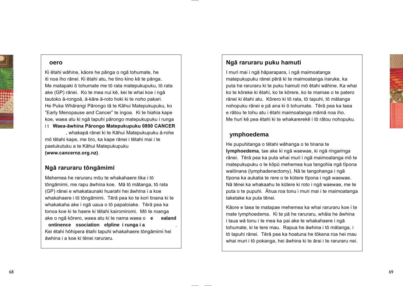

## oero

Ki ētahi wāhine, kāore he pānga o ngā tohumate, he iti noa iho rānei. Ki ētahi atu, he tino kino kē te pānga. Me matapaki ō tohumate me tō rata matepukupuku, tō rata ake (GP) rānei. Ko te mea nui kē, kei te whai koe i ngā tautoko ā-rongoā, ā-kāre ā-roto hoki ki te noho pakari. He Puka Whārangi Pārongo tā te Kāhui Matepukupuku, ko "Early Menopause and Cancer" te ingoa. Ki te hiahia kape koe, waea atu ki ngā tapuhi pārongo matepukupuku i runga it Waea-āwhina Pārongo Matepukupuku 0800 CANCER , whakapā rānei ki te Kāhui Matepukupuku ā-rohe mō tētahi kape, me tiro, ka kape rānei i tētahi mai i te paetukutuku a te Kāhui Matepukupuku (www.cancernz.org.nz).

# Ngā raruraru tōngāmimi

Mehemea he raruraru mõu te whakahaere tika i tõ tōngāmimi, me rapu āwhina koe. Mā tō mātanga, tō rata (GP) rānei e whakataunaki huarahi hei āwhina i a koe whakahaere i tō tōngāmimi. Tērā pea ko te kori tinana ki te whakakaha ake i ngā uaua o tō papatojake. Tērā pea ka tonoa koe ki te haere ki tētahi kairomiromi. Mō te roanga ake o ngā kōrero, waea atu ki te nama waea o e ealand ontinence ssociation elpline i runga i a Kei ētahi hōhipera ētahi tapuhi whakahaere tōngāmimi hei āwhina i a koe ki tēnei raruraru

# Ngā raruraru puku hamuti

I muri mai i ngā hāparapara, i ngā maimoatanga matepukupuku rānei pērā ki te maimoatanga iraruke, ka puta he raruraru ki te puku hamuti mō ētahi wāhine. Ka whai ko te kōreke ki ētahi, ko te kōrere, ko te mamae o te patero rānei ki ētahi atu. Kōrero ki tō rata, tō tapuhi, tō mātanga nohopuku rānei e pā ana ki ō tohumate. Tērā pea ka taea e rātou te tohu atu i ētahi maimoatanga māmā noa iho. Me huri kë pea ëtahi ki te whakarerekë i to ratou nohopuku.

# ymphoedema

He pupuhitanga o tētahi wāhanga o te tinana te Iymphoedema, tae ake ki ngā waewae, ki ngā ringaringa rānei. Tērā pea ka puta whai muri i ngā maimoatanga mō te matepukupuku o te kōpū mehemea kua tangohia ngā tīpona waitinana (lymphadenectomy). Nā te tangohanga i ngā tīpona ka aukatia te rere o te kūtere tīpona i ngā waewae. Nā tēnei ka whakaahu te kūtere ki roto i ngā waewae, me te puta o te pupuhi. Ahua roa tonu i muri mai i te maimoatanga taketake ka puta tēnei.

Kāore e taea te matapae mehemea ka whai raruraru koe i te mate lymphoedema. Ki te pā he raruraru, whāia he āwhina i taua wā tonu i te mea ka pai ake te whakahaere i ngā tohumate, ki te tere mau. Rapua he āwhina i tō mātanga, i tō tapuhi rānei. Tērā pea ka hoatuna he tōkena roa hei mau whai muri i tō pokanga, hei āwhina ki te ārai i te raruraru nei.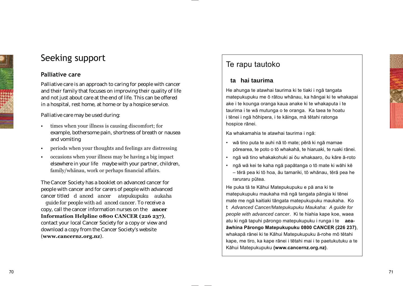

# Seeking support

# **Palliative care**

Palliative care is an approach to caring for people with cancer and their family that focuses on improving their quality of life and not just about care at the end of life. This can be offered in a hospital, rest home, at home or by a hospice service.

Palliative care may be used during:

- times when your illness is causing discomfort; for example, bothersome pain, shortness of breath or nausea and vomiting
- periods when your thoughts and feelings are distressing
- occasions when your illness may be having a big impact elsewhere in your life maybe with your partner, children, family/whānau, work or perhaps financial affairs.

The Cancer Society has a booklet on advanced cancer for people with cancer and for carers of people with advanced cancer titled *d anced ancer atepukupuku aukaha guide for people with ad anced cancer*. To receive a copy, call the cancer information nurses on the **ancer Information Helpline 0800 CANCER (226 237),** contact your local Cancer Society for a copy or view and download a copy from the Cancer Society's website (**www.cancernz.org.nz**).

# Te rapu tautoko

# **ta hai taurima**

He ahunga te atawhai taurima ki te tiaki i ngā tangata matepukupuku me ō rātou whānau, ka hāngai ki te whakapai ake i te kounga oranga kaua anake ki te whakaputa i te taurima i te wā mutunga o te oranga. Ka taea te hoatu i tēnei i ngā hōhipera, i te kāinga, mā tētahi ratonga hospice rānei.

Ka whakamahia te atawhai taurima i ngā:

- wā tino puta te auhi nā tō mate; pērā ki ngā mamae pōrearea, te poto o tō whakahā, te hiaruaki, te ruaki rānei.
- ngā wā tino whakakohuki ai ōu whakaaro, ōu kāre ā-roto
- · ngā wā kei te kaha ngā papātanga o tō mate ki wāhi kē  $-$  tērā pea ki tō hoa, āu tamariki, tō whānau, tērā pea he raruraru pūtea.

He puka tā te Kāhui Matepukupuku e pā ana ki te matepukupuku maukaha mā ngā tangata pāngia ki tēnei mate me ngā kaitiaki tāngata matepukupuku maukaha. Ko t *Advanced Cancer/Matepukupuku Maukaha: A guide for*  people with advanced cancer. Ki te hiahia kape koe, waea atu ki ngā tapuhi pārongo matepukupuku i runga i te aeaāwhina Pārongo Matepukupuku 0800 CANCER (226 237), whakapā rānei ki te Kāhui Matepukupuku ā-rohe mō tētahi kape, me tiro, ka kape rānei i tētahi mai i te paetukutuku a te Kāhui Matepukupuku (www.cancernz.org.nz).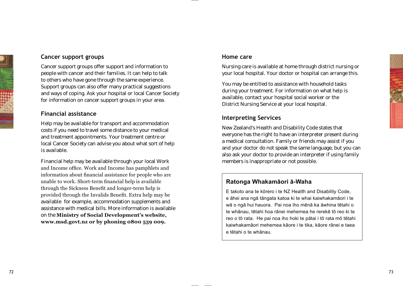

## **Cancer support groups**

Cancer support groups offer support and information to people with cancer and their families. It can help to talk to others who have gone through the same experience. Support groups can also offer many practical suggestions and ways of coping. Ask your hospital or local Cancer Society for information on cancer support groups in your area.

## **Financial assistance**

Help may be available for transport and accommodation costs if you need to travel some distance to your medical and treatment appointments. Your treatment centre or local Cancer Society can advise you about what sort of help is available.

Financial help may be available through your local Work and Income office. Work and Income has pamphlets and information about financial assistance for people who are unable to work. Short-term financial help is available through the Sickness Benefit and longer-term help is provided through the Invalids Benefit. Extra help may be available for example, accommodation supplements and assistance with medical bills. More information is available on the Ministry of Social Development's website, www.msd.govt.nz or by phoning 0800 559 009.

## **Home care**

Nursing care is available at home through district nursing or your local hospital. Your doctor or hospital can arrange this.

You may be entitled to assistance with household tasks during your treatment. For information on what help is available, contact your hospital social worker or the District Nursing Service at your local hospital.

# **Interpreting Services**

New Zealand's Health and Disability Code states that everyone has the right to have an interpreter present during a medical consultation. Family or friends may assist if you and your doctor do not speak the same language, but you can also ask your doctor to provide an interpreter if using family members is inappropriate or not possible.

## **Ratonga Whakamāori ā-Waha**

E takoto ana te kōrero i te NZ Health and Disability Code, e āhei ana ngā tāngata katoa ki te whai kaiwhakamāori i te wā o ngā hui hauora. Pai noa iho mēnā ka āwhina tētahi o te whānau, tētahi hoa rānei mehemea he rerekē tō reo ki te reo o tō rata. He pai noa iho hoki te pātai i tō rata mō tētahi kaiwhakamāori mehemea kāore i te tika, kāore rānei e taea e tētahi o te whānau.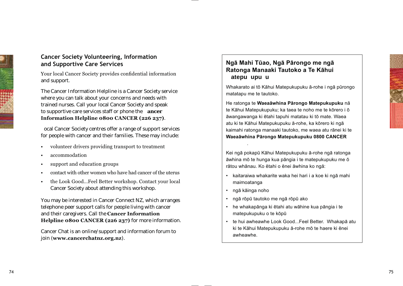

# **Cancer Society Volunteering, Information** and Supportive Care Services

Your local Cancer Society provides confidential information and support.

The Cancer Information Helpline is a Cancer Society service where you can talk about your concerns and needs with trained nurses. Call your local Cancer Society and speak to supportive care services staff or phone the ancer Information Helpline 0800 CANCER (226 237).

ocal Cancer Society centres offer a range of support services for people with cancer and their families. These may include:

- volunteer drivers providing transport to treatment
- accommodation
- support and education groups
- contact with other women who have had cancer of the uterus
- the Look Good...Feel Better workshop. Contact your local Cancer Society about attending this workshop.

You may be interested in Cancer Connect NZ, which arranges telephone peer support calls for people living with cancer and their caregivers. Call the Cancer Information Helpline 0800 CANCER (226 237) for more information.

Cancer Chat is an online/support and information forum to join (www.cancerchatnz.org.nz).

# Ngā Mahi Tūao, Ngā Pārongo me ngā Ratonga Manaaki Tautoko a Te Kāhui

atepu upu u

Whakarato ai tō Kāhui Matepukupuku ā-rohe i ngā pūrongo matatapu me te tautoko.

He ratonga te Waeaāwhina Pārongo Matepukupuku nā te Kāhui Matepukupuku; ka taea te noho me te kōrero i ō āwangawanga ki ētahi tapuhi matatau ki tō mate. Waea atu ki te Kāhui Matepukupuku ā-rohe, ka kōrero ki ngā kaimahi ratonga manaaki tautoko, me waea atu rānei ki te Waeaāwhina Pārongo Matepukupuku 0800 CANCER

Kei ngā pokapū Kāhui Matepukupuku ā-rohe ngā ratonga āwhina mō te hunga kua pāngia i te matepukupuku me ō rātou whānau. Ko ētahi o ēnei āwhina ko ngā:

- · kaitaraiwa whakarite waka hei hari i a koe ki ngā mahi maimoatanga
- · ngā kāinga noho
- · ngā rōpū tautoko me ngā rōpū ako
- · he whakapānga ki ētahi atu wāhine kua pāngia i te matepukupuku o te kōpū
- te hui awheawhe Look Good...Feel Better. Whakapā atu ki te Kāhui Matepukupuku ā-rohe mō te haere ki ēnei awheawhe.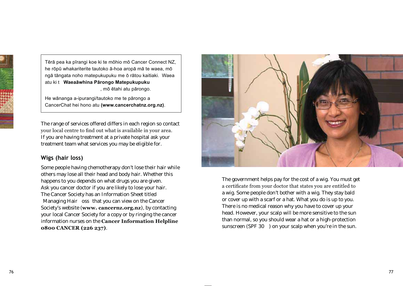

Tērā pea ka pīrangi koe ki te mōhio mō Cancer Connect NZ, he rōpū whakariterite tautoko ā-hoa aropā mā te waea, mō ngā tāngata noho matepukupuku me ō rātou kaitiaki. Waea atu ki t **Waeaāwhina Pārongo Matepukupuku** , mō ētahi atu pārongo.

He wānanga a-ipurangi/tautoko me te pārongo a CancerChat hei hono atu (www.cancerchatnz.org.nz).

The range of services offered differs in each region so contact your local centre to find out what is available in your area. If you are having treatment at a private hospital ask your treatment team what services you may be eligible for.

# **Wigs (hair loss)**

Some people having chemotherapy don't lose their hair while others may lose all their head and body hair. Whether this happens to you depends on what drugs you are given. Ask you cancer doctor if you are likely to lose your hair. The Cancer Society has an Information Sheet titled Managing Hair oss that you can view on the Cancer Society's website (www.cancernz.org.nz), by contacting your local Cancer Society for a copy or by ringing the cancer information nurses on the **Cancer Information Helpline 0800 CANCER (226 237).** 



The government helps pay for the cost of a wig. You must get a certificate from your doctor that states you are entitled to a wig. Some people don't bother with a wig. They stay bald or cover up with a scarf or a hat. What you do is up to you. There is no medical reason why you have to cover up your head. However, your scalp will be more sensitive to the sun than normal, so you should wear a hat or a high-protection sunscreen (SPF 30 ) on your scalp when you're in the sun.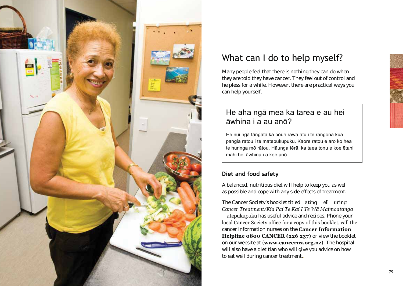

# What can I do to help myself?

Many people feel that there is nothing they can do when they are told they have cancer. They feel out of control and helpless for a while. However, there are practical ways you can help yourself.

# He aha ngā mea ka tarea e au hei āwhina i a au anō?

He nui ngā tāngata ka pōuri rawa atu i te rangona kua pāngia rātou i te matepukupuku. Kāore rātou e aro ko hea te huringa mō rātou. Hāunga tērā, ka taea tonu e koe ētahi mahi hei āwhina i a koe anō.

# Diet and food safety

A balanced, nutritious diet will help to keep you as well as possible and cope with any side effects of treatment.

The Cancer Society's booklet titled ating ell uring Cancer Treatment/Kia Pai Te Kai I Te Wā Maimoatanga

atepukupuku has useful advice and recipes. Phone your local Cancer Society office for a copy of this booklet, call the cancer information nurses on the Cancer Information Helpline 0800 CANCER (226 237) or view the booklet on our website at (www.cancernz.org.nz). The hospital will also have a dietitian who will give you advice on how to eat well during cancer treatment..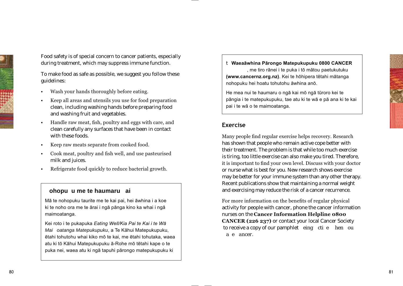

Food safety is of special concern to cancer patients, especially during treatment, which may suppress immune function.

To make food as safe as possible, we suggest you follow these guidelines:

- Wash your hands thoroughly before eating.
- Keep all areas and utensils you use for food preparation clean, including washing hands before preparing food and washing fruit and vegetables.
- Handle raw meat, fish, poultry and eggs with care, and clean carefully any surfaces that have been in contact with these foods.
- Keep raw meats separate from cooked food.
- Cook meat, poultry and fish well, and use pasteurised milk and juices.
- Refrigerate food quickly to reduce bacterial growth.

## ohopu u me te haumaru ai

Mā te nohopuku taurite me te kai pai, hei āwhina i a koe ki te noho ora me te ārai i ngā pānga kino ka whai i ngā maimoatanga.

Kei roto i te pukapuka Eating Well/Kia Pai te Kai i te Wā Mai oatanga Matepukupuku, a Te Kāhui Matepukupuku, ētahi tohutohu whai kiko mō te kai, me ētahi tohutaka, waea atu ki tō Kāhui Matepukupuku ā-Rohe mō tētahi kape o te puka nei, waea atu ki ngā tapuhi pārongo matepukupuku ki

# t Waeaāwhina Pārongo Matepukupuku 0800 CANCER

, me tiro rānei i te puka i tō mātou paetukutuku (www.cancernz.org.nz). Kei te hōhipera tētahi mātanga nohopuku hei hoatu tohutohu āwhina anō.

He mea nui te haumaru o ngā kai mō ngā tūroro kei te pāngia i te matepukupuku, tae atu ki te wā e pā ana ki te kai pai i te wā o te maimoatanga.

# **Exercise**

Many people find regular exercise helps recovery. Research has shown that people who remain active cope better with their treatment. The problem is that while too much exercise is tiring, too little exercise can also make you tired. Therefore, it is important to find your own level. Discuss with your doctor or nurse what is best for you. New research shows exercise may be better for your immune system than any other therapy. Recent publications show that maintaining a normal weight and exercising may reduce the risk of a cancer recurrence.

For more information on the benefits of regular physical activity for people with cancer, phone the cancer information nurses on the Cancer Information Helpline 0800 **CANCER (226 237)** or contact your local Cancer Society to receive a copy of our pamphlet eing cti e hen ou a e ancer.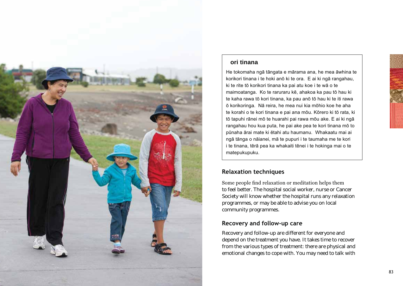

# ori tinana

He tokomaha ngā tāngata e mārama ana, he mea āwhina te korikori tinana i te hoki anō ki te ora. E ai ki ngā rangahau. ki te rite tō korikori tinana ka pai atu koe i te wā o te maimoatanga. Ko te raruraru kē, ahakoa ka pau tō hau ki te kaha rawa tō kori tinana, ka pau anō tō hau ki te iti rawa ō korikoringa. Nā reira, he mea nui kia mōhio koe he aha te korahi o te kori tinana e pai ana mōu. Kōrero ki tō rata, ki tō tapuhi rānei mō te huarahi pai rawa mōu ake. E ai ki ngā rangahau hou kua puta, he pai ake pea te kori tinana mō to pūnaha ārai mate ki ētahi atu haumanu. Whakaatu mai ai ngā tānga o nāianei, mā te pupuri i te taumaha me te kori i te tinana, tērā pea ka whakaiti tēnei i te hokinga mai o te matepukupuku.

# **Relaxation techniques**

Some people find relaxation or meditation helps them to feel better. The hospital social worker, nurse or Cancer Society will know whether the hospital runs any relaxation programmes, or may be able to advise you on local community programmes.

# Recovery and follow-up care

Recovery and follow-up are different for everyone and depend on the treatment you have. It takes time to recover from the various types of treatment: there are physical and emotional changes to cope with. You may need to talk with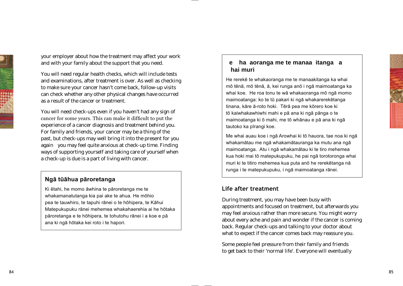your employer about how the treatment may affect your work and with your family about the support that you need.

You will need regular health checks, which will include tests and examinations, after treatment is over. As well as checking to make sure your cancer hasn't come back, follow-up visits can check whether any other physical changes have occurred as a result of the cancer or treatment.

You will need check-ups even if you haven't had any sign of cancer for some years. This can make it difficult to put the experience of a cancer diagnosis and treatment behind you. For family and friends, your cancer may be a thing of the past, but check-ups may well bring it into the present for you again you may feel quite anxious at check-up time. Finding ways of supporting yourself and taking care of yourself when a check-up is due is a part of living with cancer.

# Ngā tūāhua pāroretanga

Ki ētahi, he momo āwhina te pāroretanga me te whakamanatutanga kia pai ake te ahua. He mōhio pea te tauwhiro, te tapuhi rānei o te hōhipera, te Kāhui Matepukupuku rānei mehemea whakahaerehia ai he hōtaka pāroretanga e te hōhipera, te tohutohu rānei i a koe e pā ana ki ngā hōtaka kei roto i te hapori.

# **e ha aoranga me te manaa itanga a hai muri**

He rerekē te whakaoranga me te manaakitanga ka whai mō tēnā, mō tēnā, ā, kei runga anō i ngā maimoatanga ka whai koe. He roa tonu te wā whakaoranga mō ngā momo maimoatanga: ko te tū pakari ki ngā whakarerekētanga tinana, kāre ā-roto hoki. Tērā pea me kōrero koe ki tō kaiwhakawhiwhi mahi e pā ana ki ngā pānga o te maimoatanga ki ō mahi, me tō whānau e pā ana ki ngā tautoko ka pīrangi koe.

Me whai auau koe i ngā Arowhai ki tō hauora, tae noa ki ngā whakamātau me ngā whakamātauranga ka mutu ana ngā maimoatanga. Atu i ngā whakamātau ki te tiro mehemea kua hoki mai tō matepukupuku, he pai ngā torotoronga whai muri ki te titiro mehemea kua puta anō he rerekētanga nā runga i te matepukupuku, i ngā maimoatanga rānei.

# **Life after treatment**

During treatment, you may have been busy with appointments and focused on treatment, but afterwards you may feel anxious rather than more secure. You might worry about every ache and pain and wonder if the cancer is coming back. Regular check-ups and talking to your doctor about what to expect if the cancer comes back may reassure you.

Some people feel pressure from their family and friends to get back to their 'normal life'. Everyone will eventually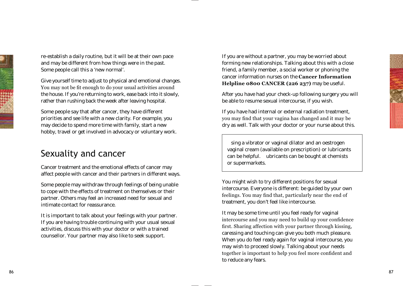re-establish a daily routine, but it will be at their own pace and may be different from how things were in the past. Some people call this a 'new normal'.

Give yourself time to adjust to physical and emotional changes. You may not be fit enough to do your usual activities around the house. If you're returning to work, ease back into it slowly, rather than rushing back the week after leaving hospital.

Some people say that after cancer, they have different priorities and see life with a new clarity. For example, you may decide to spend more time with family, start a new hobby, travel or get involved in advocacy or voluntary work.

# Sexuality and cancer

Cancer treatment and the emotional effects of cancer may affect people with cancer and their partners in different ways.

Some people may withdraw through feelings of being unable to cope with the effects of treatment on themselves or their partner. Others may feel an increased need for sexual and intimate contact for reassurance.

It is important to talk about your feelings with your partner. If you are having trouble continuing with your usual sexual activities, discuss this with your doctor or with a trained counsellor. Your partner may also like to seek support.

If you are without a partner, you may be worried about forming new relationships. Talking about this with a close friend, a family member, a social worker or phoning the cancer information nurses on the **Cancer Information Helpline 0800 CANCER (226 237) may be useful.** 

After you have had your check-up following surgery you will be able to resume sexual intercourse, if you wish.

If you have had internal or external radiation treatment, you may find that your vagina has changed and it may be dry as well. Talk with your doctor or your nurse about this.

sing a vibrator or vaginal dilator and an oestrogen vaginal cream (available on prescription) or lubricants can be helpful. ubricants can be bought at chemists or supermarkets.

You might wish to try different positions for sexual intercourse. Everyone is different: be guided by your own feelings. You may find that, particularly near the end of treatment, you don't feel like intercourse.

It may be some time until you feel ready for vaginal intercourse and you may need to build up your confidence first. Sharing affection with your partner through kissing, caressing and touching can give you both much pleasure. When you do feel ready again for vaginal intercourse, you may wish to proceed slowly. Talking about your needs together is important to help you feel more confident and to reduce any fears.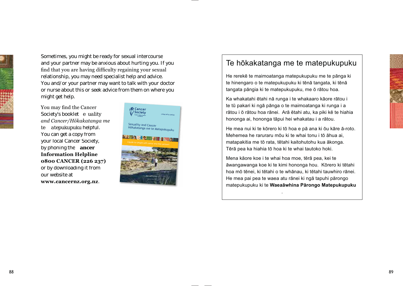

Sometimes, you might be ready for sexual intercourse and your partner may be anxious about hurting you. If you find that you are having difficulty regaining your sexual relationship, you may need specialist help and advice. You and/or your partner may want to talk with your doctor or nurse about this or seek advice from them on where you might get help.

You may find the Cancer Society's booklet *e uality*  and Cancer/Hōkakatanga me *te atepukupuku* helpful. You can get a copy from your local Cancer Society, by phoning the **ancer Information Helpline 0800 CANCER (226 237)** or by downloading it from our website at www.cancernz.org.nz.



# Te hōkakatanga me te matepukupuku

He rerekē te maimoatanga matepukupuku me te pānga ki te hinengaro o te matepukupuku ki tēnā tangata, ki tēnā tangata pāngia ki te matepukupuku, me ō rātou hoa.

Ka whakatahi ētahi nā runga i te whakaaro kāore rātou i te tū pakari ki ngā pānga o te maimoatanga ki runga i a rātou i ō rātou hoa rānei. Arā ētahi atu, ka piki kē te hiahia hononga ai, hononga tāpui hei whakatau i a rātou.

He mea nui ki te kōrero ki tō hoa e pā ana ki ōu kāre ā-roto. Mehemea he raruraru mõu ki te whai tonu i tõ āhua ai, matapakitia me tō rata, tētahi kaitohutohu kua ākonga. Tērā pea ka hiahia tō hoa ki te whai tautoko hoki.

Mena kāore koe i te whai hoa moe, tērā pea, kei te āwangawanga koe ki te kimi hononga hou. Kōrero ki tētahi hoa mō tēnei, ki tētahi o te whānau, ki tētahi tauwhiro rānei. He mea pai pea te waea atu rānei ki ngā tapuhi pārongo matepukupuku ki te Waeaāwhina Pārongo Matepukupuku

*Property and the second second*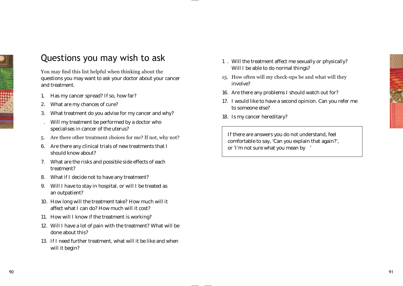

# Questions you may wish to ask

You may find this list helpful when thinking about the questions you may want to ask your doctor about your cancer and treatment.

- 1. Has my cancer spread? If so, how far?
- 2. What are my chances of cure?
- 3. What treatment do you advise for my cancer and why?
- . Will my treatment be performed by a doctor who specialises in cancer of the uterus?
- 5. Are there other treatment choices for me? If not, why not?
- 6. Are there any clinical trials of new treatments that I should know about?
- 7. What are the risks and possible side effects of each treatment?
- 8. What if I decide not to have any treatment?
- 9. Will I have to stay in hospital, or will I be treated as an outpatient?
- 10. How long will the treatment take? How much will it affect what I can do? How much will it cost?
- 11. How will I know if the treatment is working?
- 12. Will I have a lot of pain with the treatment? What will be done about this?
- 13. If I need further treatment, what will it be like and when will it begin?
- 1 . Will the treatment affect me sexually or physically? Will I be able to do normal things?
- 15. How often will my check-ups be and what will they involve?
- 16. Are there any problems I should watch out for?
- 17. I would like to have a second opinion. Can you refer me to someone else?
- 18. Is my cancer hereditary?

If there are answers you do not understand, feel comfortable to say, 'Can you explain that again?', or 'I'm not sure what you mean by '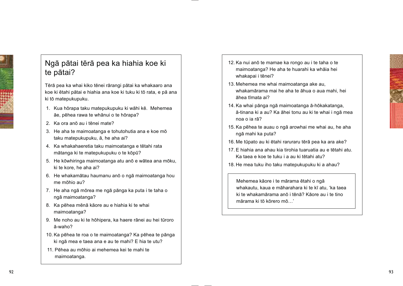

# Ngā pātai tērā pea ka hiahia koe ki te pātai?

Tērā pea ka whai kiko tēnei rārangi pātai ka whakaaro ana koe ki ētahi pātai e hiahia ana koe ki tuku ki tō rata, e pā ana ki tō matepukupuku.

- 1. Kua hōrapa taku matepukupuku ki wāhi kē. Mehemea ãe, pēhea rawa te whānui o te hōrapa?
- 2. Ka ora anō au i tēnei mate?
- 3. He aha te maimoatanga e tohutohutia ana e koe mō taku matepukupuku, ā, he aha ai?
- 4. Ka whakahaeretia taku maimoatanga e tētahi rata mātanga ki te matepukupuku o te kōpū?
- 5. He kōwhiringa maimoatanga atu anō e wātea ana mōku, ki te kore, he aha ai?
- 6. He whakamātau haumanu anō o ngā maimoatanga hou me mohio au?
- 7. He aha ngā mōrea me ngā pānga ka puta i te taha o ngā maimoatanga?
- 8. Ka pēhea mēnā kāore au e hiahia ki te whai maimoatanga?
- 9. Me noho au ki te hōhipera, ka haere rānei au hei tūroro ā-waho?
- 10. Ka pēhea te roa o te maimoatanga? Ka pēhea te pānga ki ngā mea e taea ana e au te mahi? E hia te utu?
- 11 Pēhea au mōhio ai mehemea kei te mahi te maimoatanga.
- 12. Ka nui anō te mamae ka rongo au i te taha o te maimoatanga? He aha te huarahi ka whāia hei whakapai i tēnei?
- 13. Mehemea me whai maimoatanga ake au, whakamārama mai he aha te āhua o aua mahi, hei āhea tīmata ai?
- 14. Ka whai pānga ngā maimoatanga ā-hōkakatanga, ā-tinana ki a au? Ka āhei tonu au ki te whai i ngā mea noa o ja rā?
- 15. Ka pēhea te auau o ngā arowhai me whai au, he aha ngā mahi ka puta?
- 16. Me tūpato au ki ētahi raruraru tērā pea ka ara ake?
- 17. E hiahia ana ahau kia tirohia tuaruatia au e tētahi atu. Ka taea e koe te tuku i a au ki tētahi atu?
- 18. He mea tuku iho taku matepukupuku ki a ahau?

Mehemea kāore i te mārama ētahi o ngā whakautu, kaua e māharahara ki te kī atu, 'ka taea ki te whakamārama anō i tēnā? Kāore au i te tino mārama ki tō kōrero mō...'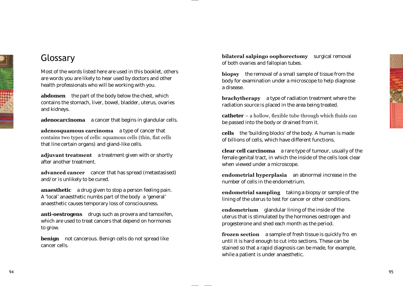

# Glossary

Most of the words listed here are used in this booklet, others are words you are likely to hear used by doctors and other health professionals who will be working with you.

**abdomen** the part of the body below the chest, which contains the stomach, liver, bowel, bladder, uterus, ovaries and kidneys.

**adenocarcinoma** a cancer that begins in glandular cells.

**adenosquamous carcinoma** a type of cancer that contains two types of cells: squamous cells (thin, flat cells that line certain organs) and gland-like cells.

**adjuvant treatment** a treatment given with or shortly after another treatment.

advanced cancer cancer that has spread (metastasised) and/or is unlikely to be cured.

**anaesthetic** a drug given to stop a person feeling pain. A 'local' anaesthetic numbs part of the body a 'general' anaesthetic causes temporary loss of consciousness.

**anti-oestrogens** drugs such as provera and tamoxifen, which are used to treat cancers that depend on hormones to grow.

**benign** not cancerous. Benign cells do not spread like cancer cells.

**bilateral salpingo oophorectomy** surgical removal of both ovaries and fallopian tubes.

biopsy the removal of a small sample of tissue from the body for examination under a microscope to help diagnose a disease.

**brachytherapy** a type of radiation treatment where the radiation source is placed in the area being treated.

catheter – a hollow, flexible tube through which fluids can be passed into the body or drained from it.

**cells** the 'building blocks' of the body. A human is made of billions of cells, which have different functions.

**clear cell carcinoma** a rare type of tumour, usually of the female genital tract, in which the inside of the cells look clear when viewed under a microscope.

**endometrial hyperplasia** an abnormal increase in the number of cells in the endometrium.

**endometrial sampling** taking a biopsy or sample of the lining of the uterus to test for cancer or other conditions.

**endometrium** glandular lining of the inside of the uterus that is stimulated by the hormones oestrogen and progesterone and shed each month as the period.

**frozen section** a sample of fresh tissue is quickly fro en until it is hard enough to cut into sections. These can be stained so that a rapid diagnosis can be made, for example, while a patient is under anaesthetic.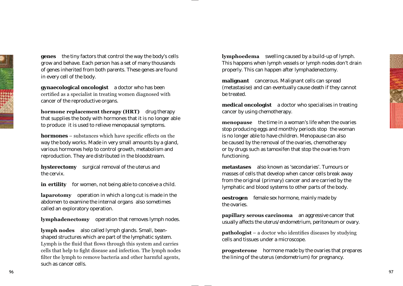**genes** the tiny factors that control the way the body's cells grow and behave. Each person has a set of many thousands of genes inherited from both parents. These genes are found in every cell of the body.

**gynaecological oncologist** a doctor who has been certified as a specialist in treating women diagnosed with cancer of the reproductive organs.

**hormone replacement therapy (HRT)** drug therapy that supplies the body with hormones that it is no longer able to produce it is used to relieve menopausal symptoms.

**hormones** – substances which have specific effects on the way the body works. Made in very small amounts by a gland, various hormones help to control growth, metabolism and reproduction. They are distributed in the bloodstream.

**hysterectomy** surgical removal of the uterus and the cervix.

**in ertility** for women, not being able to conceive a child.

**laparotomy** operation in which a long cut is made in the abdomen to examine the internal organs also sometimes called an exploratory operation.

**lymphadenectomy** operation that removes lymph nodes.

**lymph nodes** also called lymph glands. Small, beanshaped structures which are part of the lymphatic system. Lymph is the fluid that flows through this system and carries cells that help to fight disease and infection. The lymph nodes filter the lymph to remove bacteria and other harmful agents, such as cancer cells.

**lymphoedema** swelling caused by a build-up of lymph. This happens when lymph vessels or lymph nodes don't drain properly. This can happen after lymphadenectomy.

**malignant** cancerous. Malignant cells can spread (metastasise) and can eventually cause death if they cannot be treated.

**medical oncologist** a doctor who specialises in treating cancer by using chemotherapy.

**PHQRSDXXV** the time in a woman's life when the ovaries stop producing eggs and monthly periods stop the woman is no longer able to have children. Menopause can also be caused by the removal of the ovaries, chemotherapy or by drugs such as tamoxifen that stop the ovaries from functioning.

**metastases** also known as 'secondaries'. Tumours or masses of cells that develop when cancer cells break away from the original (primary) cancer and are carried by the lymphatic and blood systems to other parts of the body.

**oestrogen** female sex hormone, mainly made by the ovaries.

**Papillary serous carcinoma** an aggressive cancer that usually affects the uterus/endometrium, peritoneum or ovary.

**pathologist** – a doctor who identifies diseases by studying cells and tissues under a microscope.

**progesterone** hormone made by the ovaries that prepares the lining of the uterus (endometrium) for pregnancy.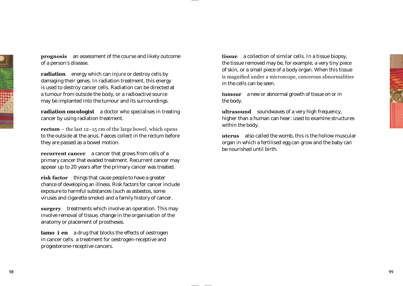

**Prognosis** an assessment of the course and likely outcome of a person's disease.

**radiation** energy which can injure or destroy cells by damaging their genes. In radiation treatment, this energy is used to destroy cancer cells. Radiation can be directed at a tumour from outside the body, or a radioactive source may be implanted into the tumour and its surroundings.

**radiation oncologist** a doctor who specialises in treating cancer by using radiation treatment.

**rectum** – the last  $12-15$  cm of the large bowel, which opens to the outside at the anus. Faeces collect in the rectum before they are passed as a bowel motion.

**PECULTENT CANCER** a cancer that grows from cells of a primary cancer that evaded treatment. Recurrent cancer may appear up to 20 years after the primary cancer was treated.

**risk factor** things that cause people to have a greater chance of developing an illness. Risk factors for cancer include exposure to harmful substances (such as asbestos, some viruses and cigarette smoke) and a family history of cancer.

**surgery** treatments which involve an operation. This may involve removal of tissue, change in the organisation of the anatomy or placement of prostheses.

**tamo i en** a drug that blocks the effects of oestrogen in cancer cells a treatment for oestrogen-receptive and progesterone-receptive cancers.

**tissue** a collection of similar cells. In a tissue biopsy, the tissue removed may be, for example, a very tiny piece of skin, or a small piece of a body organ. When this tissue is magnified under a microscope, cancerous abnormalities in the cells can be seen.

**tumour** a new or abnormal growth of tissue on or in the body.

ultrasound soundwaves of a very high frequency, higher than a human can hear: used to examine structures within the body.

*<u>x</u>* **also called the womb, this is the hollow muscular in the real of the womb, this is the hollow muscular** organ in which a fertilised egg can grow and the baby can be nourished until birth.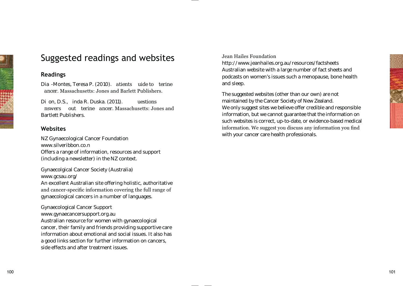

# Suggested readings and websites

## **Readings**

Dia -Montes, Teresa P. (2010). *atients uide to terine*  ancer. Massachusetts: Jones and Barlett Publishers.

Di on, D.S., inda R. Duska. (2011). *uestions*  **nswers** out terine ancer. Massachusetts: Jones and Bartlett Publishers.

# **Websites**

NZ Gynaecological Cancer Foundation www.silveribbon.co.n Offers a range of information, resources and support (including a newsletter) in the NZ context.

Gynaecolgical Cancer Society (Australia) www.gcsau.org/ An excellent Australian site offering holistic, authoritative and cancer-specific information covering the full range of gynaecological cancers in a number of languages.

Gynaecological Cancer Support www.gynaecancersupport.org.au Australian resource for women with gynaecological cancer, their family and friends providing supportive care information about emotional and social issues. It also has a good links section for further information on cancers, side effects and after treatment issues.

## Jean Hailes Foundation

http://www.jeanhailes.org.au/resources/factsheets Australian website with a large number of fact sheets and podcasts on women's issues such a menopause, bone health and sleep.

The suggested websites (other than our own) are not maintained by the Cancer Society of New Zealand. We only suggest sites we believe offer credible and responsible information, but we cannot guarantee that the information on such websites is correct, up-to-date, or evidence-based medical information. We suggest you discuss any information you find with your cancer care health professionals.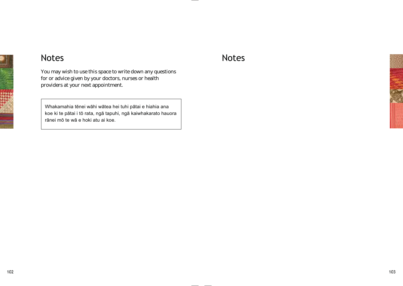

# **Notes**

You may wish to use this space to write down any questions for or advice given by your doctors, nurses or health providers at your next appointment.

Whakamahia tēnei wāhi wātea hei tuhi pātai e hiahia ana koe ki te pātai i tō rata, ngā tapuhi, ngā kaiwhakarato hauora rānei mō te wā e hoki atu ai koe.

# **Notes**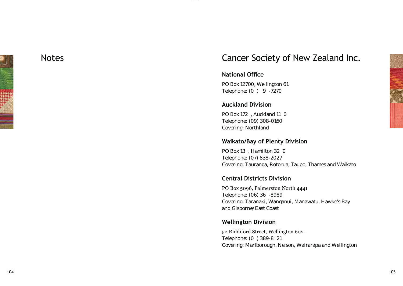

# **Notes**

# Cancer Society of New Zealand Inc.

# **National Office**

PO Box 12700, Wellington 61 Telephone: (0 ) 9 -7270

# **Auckland Division**

PO Box 172 , Auckland 11 0 Telephone: (09) 308-0160 Covering: Northland

# **Waikato/Bay of Plenty Division**

PO Box 13 , Hamilton 32 0 Telephone: (07) 838-2027 Covering: Tauranga, Rotorua, Taupo, Thames and Waikato

# **Central Districts Division**

PO Box 5096, Palmerston North 4441 Telephone: (06) 36 -8989 Covering: Taranaki, Wanganui, Manawatu, Hawke's Bay and Gisborne/East Coast

# **Wellington Division**

52 Riddiford Street, Wellington 6021 Telephone: (0 ) 389-8 21 Covering: Marlborough, Nelson, Wairarapa and Wellington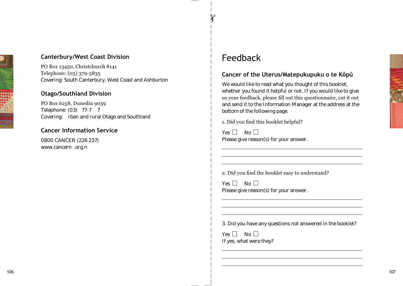# $\mathbb{Z}$

# **Canterbury/West Coast Division**

PO Box 13450, Christchurch 8141 Telephone:  $(03)$  379-5835 Covering: South Canterbury, West Coast and Ashburton

# **Otago/Southland Division**

PO Box 6258, Dunedin 9059 Telephone: (03) 77-7 7 Covering: rban and rural Otago and Southland

# **Cancer Information Service**

0800 CANCER (226 237) www.cancern .org.n

# Feedback

# Cancer of the Uterus/Matepukupuku o te Kopu

We would like to read what you thought of this booklet, whether you found it helpful or not. If you would like to give us your feedback, please fill out this questionnaire, cut it out and send it to the Information Manager at the address at the bottom of the following page.

1. Did you find this booklet helpful?

Yes  $\Box$  No  $\Box$ Please give reason(s) for your answer.

2. Did you find the booklet easy to understand?

 $Yes \Box No \Box$ Please give reason(s) for your answer.

3. Did you have any questions not answered in the booklet?

 $Y_{PS}$   $\Box$  No  $\Box$ 

If yes, what were they?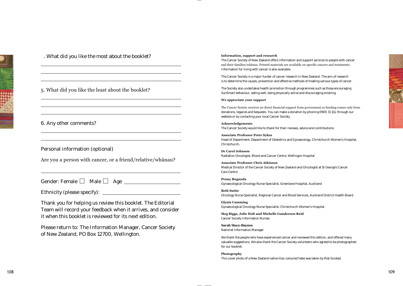

. What did you like the most about the booklet?

5. What did you like the least about the booklet?

6. Any other comments?

Personal information (optional)

Are you a person with cancer, or a friend/relative/whanau?

Gender: Female  $\Box$  Male  $\Box$  Age  $\_\_\_\_\_\_\_\_\_\_\_\_\_\_\_\_\_\_\_\_\_\_\_\_\_\_\_\_$ 

Ethnicity (please specify):

Thank you for helping us review this booklet. The Editorial Team will record your feedback when it arrives, and consider it when this booklet is reviewed for its next edition.

Please return to: The Information Manager, Cancer Society of New Zealand, PO Box 12700, Wellington.

#### Information, support and research

The Cancer Society of New Zealand offers information and support services to people with cancer and their families/whanau. Printed materials are available on specific cancers and treatments. Information for living with cancer is also available.

The Cancer Society is a major funder of cancer research in New Zealand. The aim of research is to determine the causes, prevention and effective methods of treating various types of cancer.

The Society also undertakes health promotion through programmes such as those encouraging SunSmart behaviour, eating well, being physically active and discouraging smoking.

We appreciate your support

The Cancer Society receives no direct financial support from government so funding comes only from donations, legacies and bequests. You can make a donation by phoning 0900 31 111, through our website or by contacting your local Cancer Society.

Acknowledgements The Cancer Society would like to thank for their reviews, advice and contributions:

**Associate Professor Peter Sykes** Head of Department, Department of Obstetrics and Gynaecology, Christchurch Women's Hospital, Christchurch.

**Dr Carol Johnson** Radiation Oncologist, Blood and Cancer Centre, Wellingon Hospital

**Associate Professor Chris Atkinson** Medical Director of the Cancer Society of New Zealand and Oncologist at St George's Cancer Care Centre

Penny Bognuda Gynaecological Oncology Nurse Specialist, Greenlane Hospital, Auckland

**Beth Suttie** Oncology Nurse Specialist, Regional Cancer and Blood Services, Auckland District Health Board

**Glynis Cumming** Gynaecological Oncology Nurse Specialist, Christchurch Women's Hospital

**Meg Biggs, Julie Holt and Michelle Gundersen-Reid** Cancer Society Information Nurses

**Sarah Stacy-Baynes** National Information Manager

We thank the people who have experienced cancer and reviewed this edition, and offered many valuable suggestions. We also thank the Cancer Society volunteers who agreed to be photographed for our booklet.

**Photography** This cover photo of a New Zealand native lilac-coloured hebe was taken by Rob Suisted.